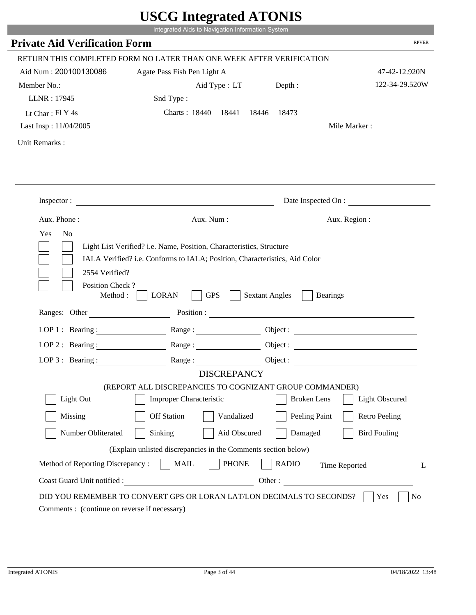| <b>Private Aid Verification Form</b>                                                                       | Integrated Aids to Navigation Information System                           |                       |                        |
|------------------------------------------------------------------------------------------------------------|----------------------------------------------------------------------------|-----------------------|------------------------|
|                                                                                                            |                                                                            |                       | <b>RPVER</b>           |
|                                                                                                            | RETURN THIS COMPLETED FORM NO LATER THAN ONE WEEK AFTER VERIFICATION       |                       |                        |
| Aid Num: 200100130086                                                                                      | Agate Pass Fish Pen Light A                                                |                       | 47-42-12.920N          |
| Member No.:                                                                                                | Aid Type : LT Depth :                                                      |                       | 122-34-29.520W         |
| LLNR: 17945                                                                                                | Snd Type:                                                                  |                       |                        |
| Lt Char: $FI$ Y 4s                                                                                         | Charts: 18440 18441 18446 18473                                            |                       |                        |
| Last Insp: 11/04/2005                                                                                      |                                                                            |                       | Mile Marker:           |
| Unit Remarks:                                                                                              |                                                                            |                       |                        |
|                                                                                                            |                                                                            |                       |                        |
|                                                                                                            |                                                                            |                       |                        |
|                                                                                                            | Inspector:                                                                 |                       | Date Inspected On :    |
|                                                                                                            |                                                                            |                       | Aux. Num: Aux. Region: |
| 2554 Verified?                                                                                             | IALA Verified? i.e. Conforms to IALA; Position, Characteristics, Aid Color |                       |                        |
| Position Check?<br>Method :                                                                                | <b>GPS</b><br><b>LORAN</b><br>Ranges: Other Position : Position :          | <b>Sextant Angles</b> | Bearings               |
|                                                                                                            |                                                                            |                       |                        |
| LOP 1 : Bearing : $\frac{1}{\sqrt{1-\frac{1}{2}} \cdot \frac{1}{\sqrt{1-\frac{1}{2}} \cdot \frac{1}{2}}}}$ |                                                                            |                       | Object :               |
| $LOP$ 2 : Bearing :                                                                                        | $Range: \underline{\qquad \qquad }$                                        |                       |                        |
| LOP $3$ : Bearing :                                                                                        | <b>DISCREPANCY</b>                                                         | Object :              |                        |
|                                                                                                            | (REPORT ALL DISCREPANCIES TO COGNIZANT GROUP COMMANDER)                    |                       |                        |
| Light Out                                                                                                  | <b>Improper Characteristic</b>                                             | <b>Broken</b> Lens    | <b>Light Obscured</b>  |
| Missing                                                                                                    | <b>Off Station</b><br>Vandalized                                           | Peeling Paint         | <b>Retro Peeling</b>   |
| Number Obliterated                                                                                         | Sinking<br>Aid Obscured                                                    | Damaged               | <b>Bird Fouling</b>    |
|                                                                                                            | (Explain unlisted discrepancies in the Comments section below)             |                       |                        |
| Method of Reporting Discrepancy:                                                                           | <b>PHONE</b><br><b>MAIL</b>                                                | <b>RADIO</b>          | Time Reported<br>L     |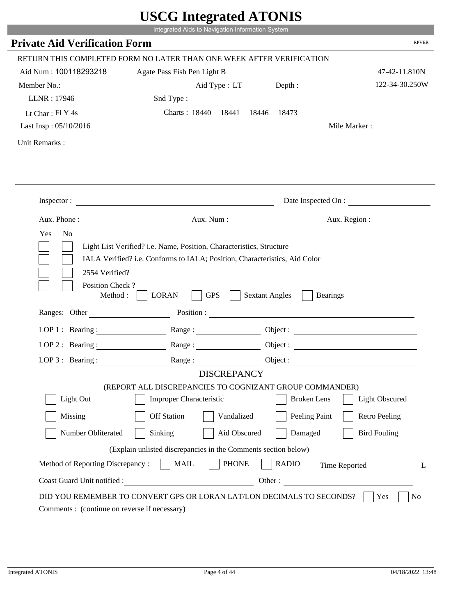| <b>Private Aid Verification Form</b> |                                                                                               | Integrated Aids to Navigation Information System                           |                        |
|--------------------------------------|-----------------------------------------------------------------------------------------------|----------------------------------------------------------------------------|------------------------|
|                                      |                                                                                               |                                                                            | <b>RPVER</b>           |
|                                      | RETURN THIS COMPLETED FORM NO LATER THAN ONE WEEK AFTER VERIFICATION                          |                                                                            |                        |
| Aid Num: 100118293218                | Agate Pass Fish Pen Light B                                                                   |                                                                            | 47-42-11.810N          |
| Member No.:                          | Aid Type : LT                                                                                 | Depth :                                                                    | 122-34-30.250W         |
| LLNR: 17946                          | Snd Type:                                                                                     |                                                                            |                        |
| Lt Char: $FI$ Y 4s                   | Charts: 18440 18441 18446 18473                                                               |                                                                            |                        |
| Last Insp: 05/10/2016                |                                                                                               |                                                                            | Mile Marker:           |
| Unit Remarks:                        |                                                                                               |                                                                            |                        |
|                                      |                                                                                               |                                                                            |                        |
|                                      |                                                                                               |                                                                            |                        |
|                                      | Inspector:                                                                                    |                                                                            | Date Inspected On :    |
|                                      |                                                                                               |                                                                            | Aux. Num: Aux. Region: |
| 2554 Verified?                       |                                                                                               | IALA Verified? i.e. Conforms to IALA; Position, Characteristics, Aid Color |                        |
| Position Check?<br>Method :          | <b>GPS</b><br><b>LORAN</b><br>Ranges: Other Position : Position :                             | <b>Sextant Angles</b>                                                      | Bearings               |
|                                      |                                                                                               |                                                                            |                        |
| LOP 1 : Bearing : $\qquad \qquad$    |                                                                                               |                                                                            | Object :               |
| LOP $2:$ Bearing :                   | Range :                                                                                       |                                                                            |                        |
| LOP $3$ : Bearing :                  | <b>DISCREPANCY</b>                                                                            | Object :                                                                   |                        |
|                                      | (REPORT ALL DISCREPANCIES TO COGNIZANT GROUP COMMANDER)                                       |                                                                            |                        |
| Light Out                            | <b>Improper Characteristic</b>                                                                | <b>Broken</b> Lens                                                         | <b>Light Obscured</b>  |
| Missing                              | <b>Off Station</b><br>Vandalized                                                              | Peeling Paint                                                              | <b>Retro Peeling</b>   |
| Number Obliterated                   | Sinking<br>Aid Obscured                                                                       | Damaged                                                                    | <b>Bird Fouling</b>    |
|                                      |                                                                                               |                                                                            |                        |
| Method of Reporting Discrepancy:     | (Explain unlisted discrepancies in the Comments section below)<br><b>PHONE</b><br><b>MAIL</b> | <b>RADIO</b>                                                               | Time Reported<br>L     |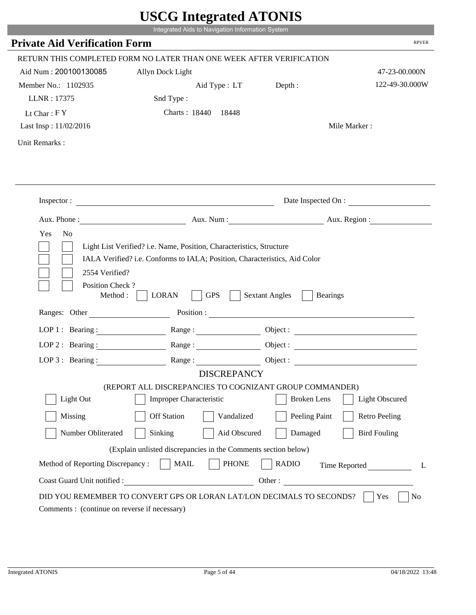|                                               | USUU IIItegrateu ATUNIS<br>Integrated Aids to Navigation Information System |                                                                       |                       |
|-----------------------------------------------|-----------------------------------------------------------------------------|-----------------------------------------------------------------------|-----------------------|
| <b>Private Aid Verification Form</b>          |                                                                             |                                                                       | <b>RPVER</b>          |
|                                               |                                                                             |                                                                       |                       |
|                                               | RETURN THIS COMPLETED FORM NO LATER THAN ONE WEEK AFTER VERIFICATION        |                                                                       |                       |
| Aid Num: 200100130085                         | Allyn Dock Light                                                            |                                                                       | 47-23-00.000N         |
| Member No.: 1102935<br>LLNR: 17375            | Aid Type : LT<br>Snd Type:                                                  | Depth:                                                                | 122-49-30.000W        |
|                                               | Charts: 18440 18448                                                         |                                                                       |                       |
| Lt Char: $FY$<br>Last Insp: 11/02/2016        |                                                                             | Mile Marker:                                                          |                       |
|                                               |                                                                             |                                                                       |                       |
| Unit Remarks:                                 |                                                                             |                                                                       |                       |
|                                               |                                                                             |                                                                       |                       |
|                                               |                                                                             |                                                                       |                       |
|                                               |                                                                             |                                                                       |                       |
|                                               | Inspector: $\qquad \qquad$                                                  | Date Inspected On :                                                   |                       |
|                                               |                                                                             | Aux. Phone : Aux. Num : Aux. Num : Aux. Num : Aux. Region :           |                       |
| N <sub>o</sub><br>Yes                         |                                                                             |                                                                       |                       |
|                                               |                                                                             |                                                                       |                       |
|                                               | Light List Verified? i.e. Name, Position, Characteristics, Structure        |                                                                       |                       |
|                                               | IALA Verified? i.e. Conforms to IALA; Position, Characteristics, Aid Color  |                                                                       |                       |
| 2554 Verified?                                |                                                                             |                                                                       |                       |
| Position Check?                               |                                                                             |                                                                       |                       |
| Method:                                       | <b>LORAN</b><br><b>GPS</b>                                                  | <b>Sextant Angles</b><br><b>Bearings</b>                              |                       |
| Ranges: Other                                 |                                                                             | Position :                                                            |                       |
|                                               |                                                                             |                                                                       |                       |
| LOP 1 : Bearing : $\qquad \qquad$             |                                                                             |                                                                       |                       |
| $LOP$ 2 : Bearing :                           | $\mathbf{Range} : \underline{\hspace{1cm}} \qquad \qquad \qquad \qquad$     |                                                                       |                       |
| LOP $3:$ Bearing :                            | Range:                                                                      | Object :                                                              |                       |
|                                               | <b>DISCREPANCY</b>                                                          |                                                                       |                       |
|                                               |                                                                             | (REPORT ALL DISCREPANCIES TO COGNIZANT GROUP COMMANDER)               |                       |
| Light Out                                     | <b>Improper Characteristic</b>                                              | <b>Broken</b> Lens                                                    | <b>Light Obscured</b> |
| Missing                                       | <b>Off Station</b><br>Vandalized                                            | Peeling Paint                                                         | <b>Retro Peeling</b>  |
| Number Obliterated                            | Sinking<br>Aid Obscured                                                     | Damaged                                                               | <b>Bird Fouling</b>   |
|                                               | (Explain unlisted discrepancies in the Comments section below)              |                                                                       |                       |
| Method of Reporting Discrepancy:              | <b>PHONE</b><br><b>MAIL</b>                                                 | <b>RADIO</b>                                                          | Time Reported<br>L    |
| Coast Guard Unit notified :                   | <u> 1990 - Johann Barbara, martin a</u>                                     | Other:                                                                |                       |
|                                               |                                                                             |                                                                       |                       |
|                                               |                                                                             | DID YOU REMEMBER TO CONVERT GPS OR LORAN LAT/LON DECIMALS TO SECONDS? | Yes<br>N <sub>0</sub> |
| Comments : (continue on reverse if necessary) |                                                                             |                                                                       |                       |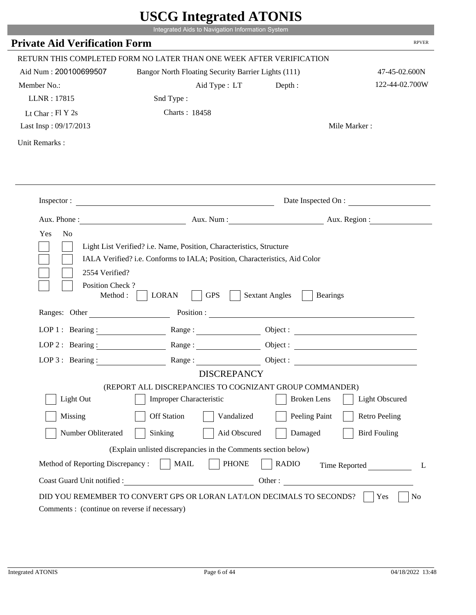|                                         |                                                                                                                                                    | $\sigma$ most word in $\sigma$           |                       |
|-----------------------------------------|----------------------------------------------------------------------------------------------------------------------------------------------------|------------------------------------------|-----------------------|
|                                         | Integrated Aids to Navigation Information System                                                                                                   |                                          |                       |
| <b>Private Aid Verification Form</b>    |                                                                                                                                                    |                                          | <b>RPVER</b>          |
|                                         | RETURN THIS COMPLETED FORM NO LATER THAN ONE WEEK AFTER VERIFICATION                                                                               |                                          |                       |
| Aid Num: 200100699507                   | Bangor North Floating Security Barrier Lights (111)                                                                                                |                                          | 47-45-02.600N         |
| Member No.:                             | Aid Type : LT                                                                                                                                      | Depth :                                  | 122-44-02.700W        |
| LLNR: 17815                             | Snd Type:                                                                                                                                          |                                          |                       |
| Lt Char: $FI Y 2s$                      | Charts: 18458                                                                                                                                      |                                          |                       |
| Last Insp: 09/17/2013                   |                                                                                                                                                    |                                          | Mile Marker:          |
| Unit Remarks:                           |                                                                                                                                                    |                                          |                       |
|                                         |                                                                                                                                                    |                                          |                       |
|                                         |                                                                                                                                                    |                                          |                       |
|                                         |                                                                                                                                                    |                                          | Date Inspected On :   |
|                                         | Aux. Phone: Aux. Num : Aux. Num : Aux. Region :                                                                                                    |                                          |                       |
| Yes<br>N <sub>o</sub><br>2554 Verified? | Light List Verified? i.e. Name, Position, Characteristics, Structure<br>IALA Verified? i.e. Conforms to IALA; Position, Characteristics, Aid Color |                                          |                       |
| Position Check?<br>Method : $\vert$     | <b>GPS</b><br><b>LORAN</b>                                                                                                                         | <b>Sextant Angles</b><br><b>Bearings</b> |                       |
| Ranges: Other                           |                                                                                                                                                    | Position :                               |                       |
|                                         | LOP 1: Bearing: Range:                                                                                                                             |                                          |                       |
|                                         | LOP 2: Bearing: $\qquad \qquad$ Range:                                                                                                             |                                          |                       |
| LOP $3:$ Bearing :                      | Range:                                                                                                                                             |                                          | Object :              |
|                                         | <b>DISCREPANCY</b>                                                                                                                                 |                                          |                       |
| Light Out                               | (REPORT ALL DISCREPANCIES TO COGNIZANT GROUP COMMANDER)<br>Improper Characteristic                                                                 | <b>Broken</b> Lens                       | <b>Light Obscured</b> |
|                                         |                                                                                                                                                    |                                          |                       |
| Missing                                 | <b>Off Station</b><br>Vandalized                                                                                                                   | Peeling Paint                            | <b>Retro Peeling</b>  |
| Number Obliterated                      | Sinking<br>Aid Obscured                                                                                                                            | Damaged                                  | <b>Bird Fouling</b>   |
|                                         | (Explain unlisted discrepancies in the Comments section below)                                                                                     |                                          |                       |
| Method of Reporting Discrepancy:        | <b>PHONE</b><br><b>MAIL</b>                                                                                                                        | <b>RADIO</b>                             | Time Reported         |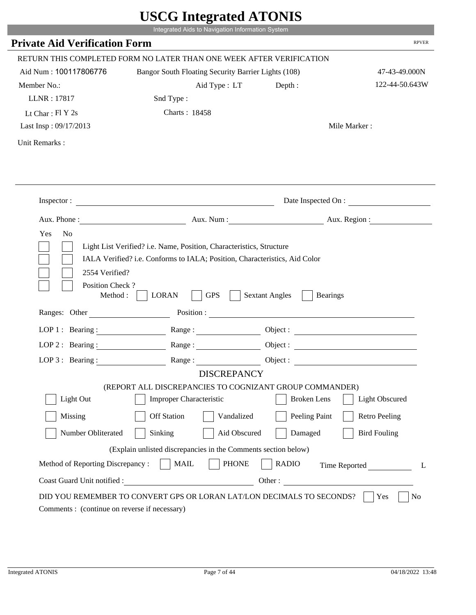|                                         |                                                                                                                                                    | $\sigma$ million $\mu$                   |                       |
|-----------------------------------------|----------------------------------------------------------------------------------------------------------------------------------------------------|------------------------------------------|-----------------------|
|                                         | Integrated Aids to Navigation Information System                                                                                                   |                                          |                       |
| <b>Private Aid Verification Form</b>    |                                                                                                                                                    |                                          | <b>RPVER</b>          |
|                                         | RETURN THIS COMPLETED FORM NO LATER THAN ONE WEEK AFTER VERIFICATION                                                                               |                                          |                       |
| Aid Num: 100117806776                   | Bangor South Floating Security Barrier Lights (108)                                                                                                |                                          | 47-43-49.000N         |
| Member No.:                             | Aid Type : LT                                                                                                                                      | Depth :                                  | 122-44-50.643W        |
| LLNR: 17817                             | Snd Type:                                                                                                                                          |                                          |                       |
| Lt Char: $FI Y 2s$                      | Charts: 18458                                                                                                                                      |                                          |                       |
| Last Insp: 09/17/2013                   |                                                                                                                                                    |                                          | Mile Marker:          |
| Unit Remarks:                           |                                                                                                                                                    |                                          |                       |
|                                         |                                                                                                                                                    |                                          |                       |
|                                         |                                                                                                                                                    |                                          |                       |
|                                         |                                                                                                                                                    |                                          | Date Inspected On :   |
|                                         | Aux. Phone: Aux. Num : Aux. Num : Aux. Region :                                                                                                    |                                          |                       |
| Yes<br>N <sub>o</sub><br>2554 Verified? | Light List Verified? i.e. Name, Position, Characteristics, Structure<br>IALA Verified? i.e. Conforms to IALA; Position, Characteristics, Aid Color |                                          |                       |
| Position Check?<br>Method : $\vert$     | <b>GPS</b><br><b>LORAN</b>                                                                                                                         | <b>Sextant Angles</b><br><b>Bearings</b> |                       |
| Ranges: Other                           |                                                                                                                                                    | Position :                               |                       |
|                                         | LOP 1: Bearing: Range:                                                                                                                             |                                          |                       |
|                                         | LOP 2: Bearing: $\qquad \qquad$ Range:                                                                                                             |                                          |                       |
| LOP $3:$ Bearing :                      | Range:                                                                                                                                             |                                          | Object :              |
|                                         | <b>DISCREPANCY</b>                                                                                                                                 |                                          |                       |
| Light Out                               | (REPORT ALL DISCREPANCIES TO COGNIZANT GROUP COMMANDER)<br>Improper Characteristic                                                                 | <b>Broken</b> Lens                       | <b>Light Obscured</b> |
|                                         |                                                                                                                                                    |                                          |                       |
| Missing                                 | <b>Off Station</b><br>Vandalized                                                                                                                   | Peeling Paint                            | <b>Retro Peeling</b>  |
| Number Obliterated                      | Sinking<br>Aid Obscured                                                                                                                            | Damaged                                  | <b>Bird Fouling</b>   |
|                                         | (Explain unlisted discrepancies in the Comments section below)                                                                                     |                                          |                       |
| Method of Reporting Discrepancy:        | <b>PHONE</b><br><b>MAIL</b>                                                                                                                        | <b>RADIO</b>                             | Time Reported         |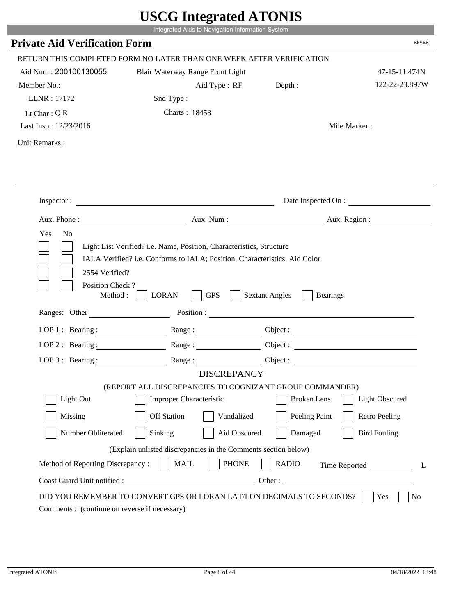|                                         | Integrated Aids to Navigation Information System                                                                                                   | $\sim$ $\sim$ $\sim$ $\sim$ $\sim$ $\sim$ $\sim$ |                       |
|-----------------------------------------|----------------------------------------------------------------------------------------------------------------------------------------------------|--------------------------------------------------|-----------------------|
| <b>Private Aid Verification Form</b>    |                                                                                                                                                    |                                                  | <b>RPVER</b>          |
|                                         | RETURN THIS COMPLETED FORM NO LATER THAN ONE WEEK AFTER VERIFICATION                                                                               |                                                  |                       |
| Aid Num: 200100130055                   | Blair Waterway Range Front Light                                                                                                                   |                                                  | 47-15-11.474N         |
| Member No.:                             | Aid Type : RF Depth :                                                                                                                              |                                                  | 122-22-23.897W        |
| LLNR: 17172                             | Snd Type:                                                                                                                                          |                                                  |                       |
| Lt Char: $Q R$                          | Charts: 18453                                                                                                                                      |                                                  |                       |
| Last Insp: 12/23/2016                   |                                                                                                                                                    |                                                  | Mile Marker:          |
| Unit Remarks:                           |                                                                                                                                                    |                                                  |                       |
|                                         |                                                                                                                                                    |                                                  |                       |
|                                         |                                                                                                                                                    |                                                  |                       |
|                                         | Inspector:                                                                                                                                         |                                                  | Date Inspected On :   |
|                                         | Aux. Phone: Aux. Num : Aux. Num : Aux. Region :                                                                                                    |                                                  |                       |
| Yes<br>N <sub>o</sub><br>2554 Verified? | Light List Verified? i.e. Name, Position, Characteristics, Structure<br>IALA Verified? i.e. Conforms to IALA; Position, Characteristics, Aid Color |                                                  |                       |
| Position Check?<br>Method : $\vert$     | <b>LORAN</b><br><b>GPS</b>                                                                                                                         | <b>Sextant Angles</b><br><b>Bearings</b>         |                       |
| Ranges: Other                           |                                                                                                                                                    |                                                  |                       |
|                                         | LOP 1: Bearing: Range:                                                                                                                             |                                                  |                       |
| LOP 2: Bearing:                         |                                                                                                                                                    |                                                  |                       |
|                                         | LOP 3: Bearing: Range: Range: Object:                                                                                                              |                                                  |                       |
|                                         | <b>DISCREPANCY</b>                                                                                                                                 |                                                  |                       |
| Light Out                               | (REPORT ALL DISCREPANCIES TO COGNIZANT GROUP COMMANDER)<br>Improper Characteristic                                                                 | <b>Broken</b> Lens                               | <b>Light Obscured</b> |
|                                         |                                                                                                                                                    |                                                  |                       |
| Missing                                 | <b>Off Station</b><br>Vandalized                                                                                                                   | Peeling Paint                                    | <b>Retro Peeling</b>  |
| Number Obliterated                      | Sinking<br>Aid Obscured                                                                                                                            | Damaged                                          | <b>Bird Fouling</b>   |
|                                         | (Explain unlisted discrepancies in the Comments section below)                                                                                     |                                                  |                       |
| Method of Reporting Discrepancy:        | <b>MAIL</b><br><b>PHONE</b>                                                                                                                        | <b>RADIO</b>                                     | Time Reported<br>L    |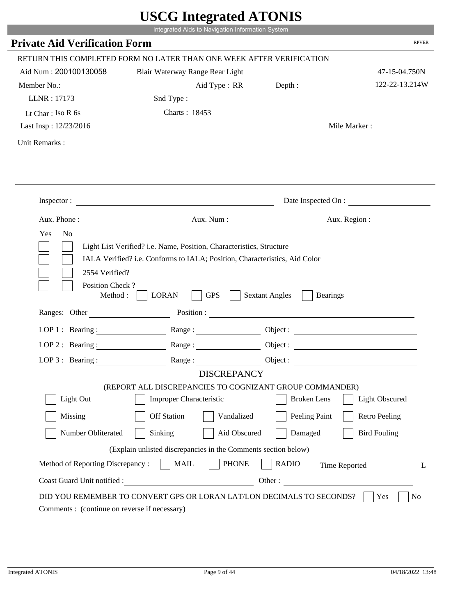|                                                                 | Integrated Aids to Navigation Information System                                                                                                   |                                          |                       |
|-----------------------------------------------------------------|----------------------------------------------------------------------------------------------------------------------------------------------------|------------------------------------------|-----------------------|
| <b>Private Aid Verification Form</b>                            |                                                                                                                                                    |                                          | <b>RPVER</b>          |
|                                                                 | RETURN THIS COMPLETED FORM NO LATER THAN ONE WEEK AFTER VERIFICATION                                                                               |                                          |                       |
| Aid Num: 200100130058                                           | Blair Waterway Range Rear Light                                                                                                                    |                                          | 47-15-04.750N         |
| Member No.:                                                     | Aid Type : RR Depth :                                                                                                                              |                                          | 122-22-13.214W        |
| LLNR: 17173                                                     | Snd Type:                                                                                                                                          |                                          |                       |
| Lt Char: Iso $R$ 6s                                             | Charts: 18453                                                                                                                                      |                                          |                       |
| Last Insp: 12/23/2016                                           |                                                                                                                                                    |                                          | Mile Marker:          |
| Unit Remarks:                                                   |                                                                                                                                                    |                                          |                       |
|                                                                 |                                                                                                                                                    |                                          |                       |
|                                                                 |                                                                                                                                                    |                                          |                       |
|                                                                 | Inspector:                                                                                                                                         |                                          | Date Inspected On :   |
|                                                                 | Aux. Phone: Aux. Aux. Num : Aux. Aux. Region :                                                                                                     |                                          |                       |
| Yes<br>N <sub>o</sub><br>2554 Verified?                         | Light List Verified? i.e. Name, Position, Characteristics, Structure<br>IALA Verified? i.e. Conforms to IALA; Position, Characteristics, Aid Color |                                          |                       |
| Position Check?<br>Method :<br>Ranges: Other                    | <b>GPS</b><br><b>LORAN</b>                                                                                                                         | <b>Sextant Angles</b><br><b>Bearings</b> |                       |
|                                                                 |                                                                                                                                                    |                                          |                       |
|                                                                 | LOP 1: Bearing : Range :                                                                                                                           |                                          | Object:               |
| LOP $2:$ Bearing :                                              |                                                                                                                                                    |                                          |                       |
|                                                                 | LOP 3: Bearing: Range: Name: Object:                                                                                                               |                                          |                       |
|                                                                 | <b>DISCREPANCY</b><br>(REPORT ALL DISCREPANCIES TO COGNIZANT GROUP COMMANDER)                                                                      |                                          |                       |
| Light Out                                                       | Improper Characteristic                                                                                                                            | <b>Broken</b> Lens                       | <b>Light Obscured</b> |
| Missing                                                         | <b>Off Station</b><br>Vandalized                                                                                                                   | Peeling Paint                            | <b>Retro Peeling</b>  |
| Number Obliterated                                              | Sinking<br>Aid Obscured                                                                                                                            | Damaged                                  | <b>Bird Fouling</b>   |
|                                                                 |                                                                                                                                                    |                                          |                       |
|                                                                 | (Explain unlisted discrepancies in the Comments section below)                                                                                     |                                          |                       |
| Method of Reporting Discrepancy:<br>Coast Guard Unit notified : | <b>PHONE</b><br><b>MAIL</b>                                                                                                                        | <b>RADIO</b><br>Other:                   | Time Reported<br>L    |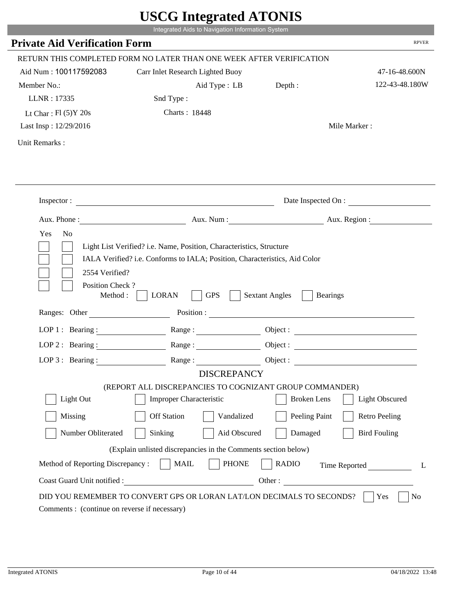|                                                                 | Integrated Aids to Navigation Information System                                                                                                   |                                                        |                       |
|-----------------------------------------------------------------|----------------------------------------------------------------------------------------------------------------------------------------------------|--------------------------------------------------------|-----------------------|
| <b>Private Aid Verification Form</b>                            |                                                                                                                                                    |                                                        | <b>RPVER</b>          |
|                                                                 | RETURN THIS COMPLETED FORM NO LATER THAN ONE WEEK AFTER VERIFICATION                                                                               |                                                        |                       |
| Aid Num: 100117592083                                           | Carr Inlet Research Lighted Buoy                                                                                                                   |                                                        | 47-16-48.600N         |
| Member No.:                                                     | Aid Type : LB                                                                                                                                      | Depth:                                                 | 122-43-48.180W        |
| LLNR: 17335                                                     | Snd Type:                                                                                                                                          |                                                        |                       |
| Lt Char: $Fl(5)Y 20s$                                           | Charts: 18448                                                                                                                                      |                                                        |                       |
| Last Insp: 12/29/2016                                           |                                                                                                                                                    |                                                        | Mile Marker:          |
| Unit Remarks:                                                   |                                                                                                                                                    |                                                        |                       |
|                                                                 | Inspector:                                                                                                                                         |                                                        | Date Inspected On :   |
|                                                                 |                                                                                                                                                    |                                                        |                       |
| Aux. Phone :                                                    |                                                                                                                                                    | Aux. Num: Aux. Region:                                 |                       |
| N <sub>o</sub><br>Yes<br>2554 Verified?                         | Light List Verified? i.e. Name, Position, Characteristics, Structure<br>IALA Verified? i.e. Conforms to IALA; Position, Characteristics, Aid Color |                                                        |                       |
| Position Check?<br>Method :<br>Ranges: Other                    | <b>GPS</b><br><b>LORAN</b>                                                                                                                         | <b>Sextant Angles</b><br><b>Bearings</b><br>Position : |                       |
|                                                                 |                                                                                                                                                    |                                                        |                       |
|                                                                 | LOP 1: Bearing: $\qquad \qquad \text{Range}:$                                                                                                      |                                                        |                       |
|                                                                 | LOP 2: Bearing: Range:                                                                                                                             |                                                        |                       |
| LOP $3:$ Bearing :                                              | Range:                                                                                                                                             |                                                        | Object:               |
|                                                                 | <b>DISCREPANCY</b><br>(REPORT ALL DISCREPANCIES TO COGNIZANT GROUP COMMANDER)                                                                      |                                                        |                       |
| Light Out                                                       | Improper Characteristic                                                                                                                            | <b>Broken</b> Lens                                     | <b>Light Obscured</b> |
| Missing                                                         | <b>Off Station</b><br>Vandalized                                                                                                                   | Peeling Paint                                          | <b>Retro Peeling</b>  |
| Number Obliterated                                              | Aid Obscured                                                                                                                                       | Damaged                                                | <b>Bird Fouling</b>   |
|                                                                 | Sinking                                                                                                                                            |                                                        |                       |
|                                                                 | (Explain unlisted discrepancies in the Comments section below)                                                                                     |                                                        |                       |
| Method of Reporting Discrepancy:<br>Coast Guard Unit notified : | <b>PHONE</b><br><b>MAIL</b><br>Other:                                                                                                              | <b>RADIO</b>                                           | Time Reported         |

i i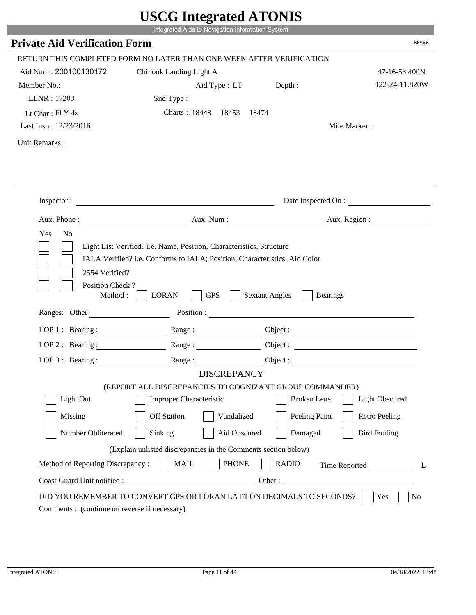|                                                                                                                                   | UDUU IIIItgi attu ATUNID<br>Integrated Aids to Navigation Information System                                                                       |                       |                          |
|-----------------------------------------------------------------------------------------------------------------------------------|----------------------------------------------------------------------------------------------------------------------------------------------------|-----------------------|--------------------------|
| <b>Private Aid Verification Form</b>                                                                                              |                                                                                                                                                    |                       | <b>RPVER</b>             |
|                                                                                                                                   | RETURN THIS COMPLETED FORM NO LATER THAN ONE WEEK AFTER VERIFICATION                                                                               |                       |                          |
| Aid Num: 200100130172                                                                                                             | Chinook Landing Light A                                                                                                                            |                       | 47-16-53.400N            |
| Member No.:                                                                                                                       | Aid Type : LT Depth :                                                                                                                              |                       | 122-24-11.820W           |
| LLNR: 17203                                                                                                                       | Snd Type:                                                                                                                                          |                       |                          |
| Lt Char: Fl Y 4s                                                                                                                  | Charts: 18448 18453 18474                                                                                                                          |                       |                          |
| Last Insp: 12/23/2016                                                                                                             |                                                                                                                                                    |                       | Mile Marker:             |
| Unit Remarks:                                                                                                                     |                                                                                                                                                    |                       |                          |
|                                                                                                                                   |                                                                                                                                                    |                       |                          |
|                                                                                                                                   |                                                                                                                                                    |                       |                          |
|                                                                                                                                   | Inspector:                                                                                                                                         |                       | Date Inspected On :      |
|                                                                                                                                   |                                                                                                                                                    |                       | Aux. Num : Aux. Region : |
| Yes<br>N <sub>0</sub><br>2554 Verified?                                                                                           | Light List Verified? i.e. Name, Position, Characteristics, Structure<br>IALA Verified? i.e. Conforms to IALA; Position, Characteristics, Aid Color |                       |                          |
| Position Check?<br>Method :                                                                                                       | <b>GPS</b><br><b>LORAN</b><br>Ranges: Other Position : Position :                                                                                  | <b>Sextant Angles</b> | Bearings                 |
|                                                                                                                                   | Range :                                                                                                                                            |                       |                          |
| LOP 1 : Bearing : $\frac{1}{\sqrt{1-\frac{1}{2}} \cdot \frac{1}{\sqrt{1-\frac{1}{2}} \cdot \frac{1}{2}}}}$<br>$LOP$ 2 : Bearing : |                                                                                                                                                    |                       | Object :                 |
|                                                                                                                                   | Range :                                                                                                                                            |                       |                          |
| LOP $3$ : Bearing :                                                                                                               | $\begin{tabular}{c} Range: \end{tabular}$<br><b>DISCREPANCY</b>                                                                                    | Object :              |                          |
|                                                                                                                                   | (REPORT ALL DISCREPANCIES TO COGNIZANT GROUP COMMANDER)                                                                                            |                       |                          |
| Light Out                                                                                                                         | <b>Improper Characteristic</b>                                                                                                                     | <b>Broken</b> Lens    | <b>Light Obscured</b>    |
| Missing                                                                                                                           | <b>Off Station</b><br>Vandalized                                                                                                                   | Peeling Paint         | <b>Retro Peeling</b>     |
| Number Obliterated                                                                                                                | Sinking<br>Aid Obscured                                                                                                                            | Damaged               | <b>Bird Fouling</b>      |
|                                                                                                                                   | (Explain unlisted discrepancies in the Comments section below)                                                                                     |                       |                          |
| Method of Reporting Discrepancy:                                                                                                  | <b>PHONE</b><br><b>MAIL</b>                                                                                                                        | <b>RADIO</b>          | Time Reported<br>L       |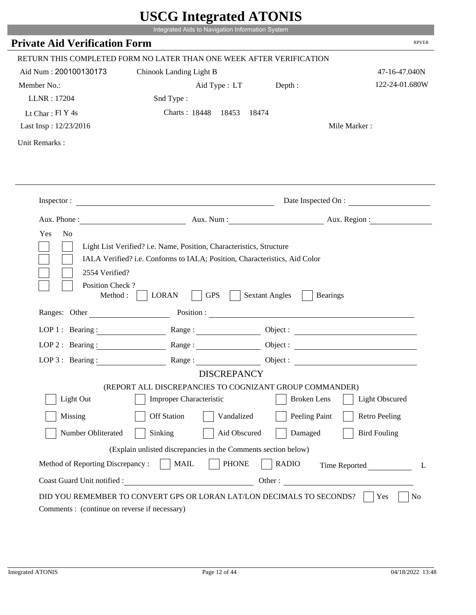|                                                                                                            | UDUU IIIItgi attu ATUNID<br>Integrated Aids to Navigation Information System                                                                       |                       |                          |
|------------------------------------------------------------------------------------------------------------|----------------------------------------------------------------------------------------------------------------------------------------------------|-----------------------|--------------------------|
| <b>Private Aid Verification Form</b>                                                                       |                                                                                                                                                    |                       | <b>RPVER</b>             |
|                                                                                                            | RETURN THIS COMPLETED FORM NO LATER THAN ONE WEEK AFTER VERIFICATION                                                                               |                       |                          |
| Aid Num: 200100130173                                                                                      | Chinook Landing Light B                                                                                                                            |                       | 47-16-47.040N            |
| Member No.:                                                                                                | Aid Type : LT Depth :                                                                                                                              |                       | 122-24-01.680W           |
| LLNR: 17204                                                                                                | Snd Type:                                                                                                                                          |                       |                          |
| Lt Char: Fl Y 4s                                                                                           | Charts: 18448 18453 18474                                                                                                                          |                       |                          |
| Last Insp: 12/23/2016                                                                                      |                                                                                                                                                    |                       | Mile Marker:             |
| Unit Remarks:                                                                                              |                                                                                                                                                    |                       |                          |
|                                                                                                            |                                                                                                                                                    |                       |                          |
|                                                                                                            | Inspector:                                                                                                                                         |                       | Date Inspected On :      |
| Aux. Phone : $\qquad \qquad$                                                                               |                                                                                                                                                    |                       | Aux. Num : Aux. Region : |
| Yes<br>N <sub>0</sub>                                                                                      | Light List Verified? i.e. Name, Position, Characteristics, Structure<br>IALA Verified? i.e. Conforms to IALA; Position, Characteristics, Aid Color |                       |                          |
| 2554 Verified?<br>Position Check?<br>Method :                                                              | <b>GPS</b><br><b>LORAN</b>                                                                                                                         | <b>Sextant Angles</b> | Bearings                 |
|                                                                                                            | Ranges: Other Position : Position :                                                                                                                |                       |                          |
| LOP 1 : Bearing : $\frac{1}{\sqrt{1-\frac{1}{2}} \cdot \frac{1}{\sqrt{1-\frac{1}{2}} \cdot \frac{1}{2}}}}$ | Range :                                                                                                                                            |                       | Object:                  |
| $LOP$ 2 : Bearing :                                                                                        |                                                                                                                                                    |                       |                          |
| LOP $3$ : Bearing :                                                                                        | $\begin{tabular}{c} Range: \end{tabular}$<br><b>DISCREPANCY</b>                                                                                    | Object :              |                          |
|                                                                                                            | (REPORT ALL DISCREPANCIES TO COGNIZANT GROUP COMMANDER)                                                                                            |                       |                          |
| Light Out                                                                                                  | <b>Improper Characteristic</b>                                                                                                                     | <b>Broken</b> Lens    | <b>Light Obscured</b>    |
| Missing                                                                                                    | <b>Off Station</b><br>Vandalized                                                                                                                   | Peeling Paint         | <b>Retro Peeling</b>     |
| Number Obliterated                                                                                         | Sinking<br>Aid Obscured                                                                                                                            | Damaged               | <b>Bird Fouling</b>      |
|                                                                                                            | (Explain unlisted discrepancies in the Comments section below)                                                                                     |                       |                          |
| Method of Reporting Discrepancy:                                                                           | <b>PHONE</b><br><b>MAIL</b>                                                                                                                        | <b>RADIO</b>          | Time Reported<br>L       |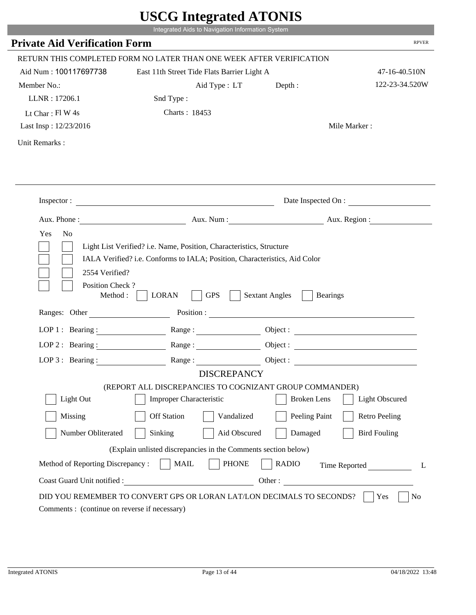|                                                      | Integrated Aids to Navigation Information System                                                                                                   |                                          |                       |
|------------------------------------------------------|----------------------------------------------------------------------------------------------------------------------------------------------------|------------------------------------------|-----------------------|
| <b>Private Aid Verification Form</b>                 |                                                                                                                                                    |                                          | <b>RPVER</b>          |
|                                                      | RETURN THIS COMPLETED FORM NO LATER THAN ONE WEEK AFTER VERIFICATION                                                                               |                                          |                       |
| Aid Num: 100117697738                                | East 11th Street Tide Flats Barrier Light A                                                                                                        |                                          | 47-16-40.510N         |
| Member No.:                                          | Aid Type: LT                                                                                                                                       | Depth:                                   | 122-23-34.520W        |
| LLNR: 17206.1                                        | Snd Type:                                                                                                                                          |                                          |                       |
| Lt Char: $FI$ W 4s                                   | Charts: 18453                                                                                                                                      |                                          |                       |
| Last Insp: 12/23/2016                                |                                                                                                                                                    |                                          | Mile Marker:          |
| Unit Remarks:                                        |                                                                                                                                                    |                                          |                       |
|                                                      |                                                                                                                                                    |                                          | Date Inspected On :   |
|                                                      | Inspector:                                                                                                                                         |                                          |                       |
| Yes<br>N <sub>o</sub>                                | Aux. Phone : Aux. Num : Aux. Num : Aux. Num : Aux. Region :                                                                                        |                                          |                       |
| 2554 Verified?                                       | Light List Verified? i.e. Name, Position, Characteristics, Structure<br>IALA Verified? i.e. Conforms to IALA; Position, Characteristics, Aid Color |                                          |                       |
| Position Check?<br>Method : $\vert$<br>Ranges: Other | <b>GPS</b><br><b>LORAN</b>                                                                                                                         | <b>Sextant Angles</b><br><b>Bearings</b> |                       |
|                                                      |                                                                                                                                                    |                                          |                       |
|                                                      | LOP 1: Bearing: Range:                                                                                                                             |                                          |                       |
| LOP 2 : Bearing :                                    |                                                                                                                                                    |                                          |                       |
|                                                      | LOP 3: Bearing: Range: Range: Object:<br><b>DISCREPANCY</b>                                                                                        |                                          |                       |
|                                                      | (REPORT ALL DISCREPANCIES TO COGNIZANT GROUP COMMANDER)                                                                                            |                                          |                       |
| Light Out                                            | Improper Characteristic                                                                                                                            | <b>Broken</b> Lens                       | <b>Light Obscured</b> |
| Missing                                              | <b>Off Station</b><br>Vandalized                                                                                                                   | Peeling Paint                            | <b>Retro Peeling</b>  |
| Number Obliterated                                   | Sinking<br>Aid Obscured                                                                                                                            | Damaged                                  | <b>Bird Fouling</b>   |
|                                                      | (Explain unlisted discrepancies in the Comments section below)                                                                                     |                                          |                       |
| Method of Reporting Discrepancy:                     | <b>MAIL</b><br><b>PHONE</b>                                                                                                                        | <b>RADIO</b>                             |                       |
| Coast Guard Unit notified :                          | <u> 1989 - Johann Barbara, martxa eta politikar</u>                                                                                                | Other:                                   | Time Reported<br>L    |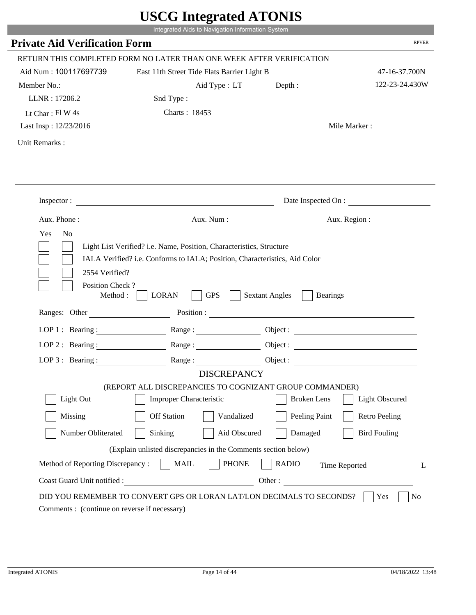|                                                                 | Integrated Aids to Navigation Information System                                                                                                   |                       |                          |
|-----------------------------------------------------------------|----------------------------------------------------------------------------------------------------------------------------------------------------|-----------------------|--------------------------|
| <b>Private Aid Verification Form</b>                            |                                                                                                                                                    |                       | <b>RPVER</b>             |
|                                                                 | RETURN THIS COMPLETED FORM NO LATER THAN ONE WEEK AFTER VERIFICATION                                                                               |                       |                          |
| Aid Num: 100117697739                                           | East 11th Street Tide Flats Barrier Light B                                                                                                        |                       | 47-16-37.700N            |
| Member No.:                                                     | Aid Type: LT                                                                                                                                       | Depth:                | 122-23-24.430W           |
| LLNR: 17206.2                                                   | Snd Type:                                                                                                                                          |                       |                          |
| Lt Char: $FlW 4s$                                               | Charts: 18453                                                                                                                                      |                       |                          |
| Last Insp: 12/23/2016                                           |                                                                                                                                                    |                       | Mile Marker:             |
| Unit Remarks:                                                   |                                                                                                                                                    |                       |                          |
|                                                                 | Inspector:                                                                                                                                         |                       | Date Inspected On :      |
| Aux. Phone :                                                    |                                                                                                                                                    |                       | Aux. Num : Aux. Region : |
| N <sub>o</sub><br>Yes                                           | Light List Verified? i.e. Name, Position, Characteristics, Structure<br>IALA Verified? i.e. Conforms to IALA; Position, Characteristics, Aid Color |                       |                          |
| 2554 Verified?<br>Position Check?<br>Method :                   | <b>GPS</b><br><b>LORAN</b>                                                                                                                         | <b>Sextant Angles</b> | <b>Bearings</b>          |
| Ranges: Other                                                   |                                                                                                                                                    | Position :            |                          |
|                                                                 | LOP 1: Bearing: $\qquad \qquad \text{Range}:$                                                                                                      |                       |                          |
|                                                                 | LOP 2: Bearing: Range:                                                                                                                             |                       |                          |
| LOP $3:$ Bearing :                                              | Range:                                                                                                                                             |                       | Object :                 |
|                                                                 | <b>DISCREPANCY</b><br>(REPORT ALL DISCREPANCIES TO COGNIZANT GROUP COMMANDER)                                                                      |                       |                          |
| Light Out                                                       | Improper Characteristic                                                                                                                            | <b>Broken</b> Lens    | <b>Light Obscured</b>    |
|                                                                 | <b>Off Station</b>                                                                                                                                 |                       |                          |
| Missing                                                         | Vandalized                                                                                                                                         | Peeling Paint         | <b>Retro Peeling</b>     |
| Number Obliterated                                              | Aid Obscured<br>Sinking                                                                                                                            | Damaged               | <b>Bird Fouling</b>      |
|                                                                 | (Explain unlisted discrepancies in the Comments section below)                                                                                     |                       |                          |
| Method of Reporting Discrepancy:<br>Coast Guard Unit notified : | <b>PHONE</b><br><b>MAIL</b><br>Other:                                                                                                              | <b>RADIO</b>          | Time Reported            |

T.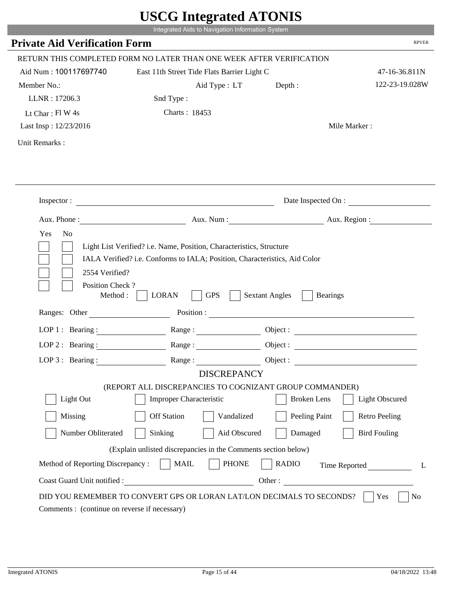|                                                                 | Integrated Aids to Navigation Information System                                                                                                   |                                          |                       |
|-----------------------------------------------------------------|----------------------------------------------------------------------------------------------------------------------------------------------------|------------------------------------------|-----------------------|
| <b>Private Aid Verification Form</b>                            |                                                                                                                                                    |                                          | <b>RPVER</b>          |
|                                                                 | RETURN THIS COMPLETED FORM NO LATER THAN ONE WEEK AFTER VERIFICATION                                                                               |                                          |                       |
| Aid Num: 100117697740                                           | East 11th Street Tide Flats Barrier Light C                                                                                                        |                                          | 47-16-36.811N         |
| Member No.:                                                     | Aid Type: LT                                                                                                                                       | Depth:                                   | 122-23-19.028W        |
| LLNR: 17206.3                                                   | Snd Type:                                                                                                                                          |                                          |                       |
| Lt Char: $FI$ W 4s                                              | Charts: 18453                                                                                                                                      |                                          |                       |
| Last Insp: 12/23/2016                                           |                                                                                                                                                    |                                          | Mile Marker:          |
| Unit Remarks:                                                   |                                                                                                                                                    |                                          |                       |
|                                                                 | Inspector:                                                                                                                                         |                                          | Date Inspected On :   |
|                                                                 | Aux. Phone : Aux. Num : Aux. Num : Aux. Num : Aux. Region :                                                                                        |                                          |                       |
| Yes<br>N <sub>o</sub><br>2554 Verified?                         | Light List Verified? i.e. Name, Position, Characteristics, Structure<br>IALA Verified? i.e. Conforms to IALA; Position, Characteristics, Aid Color |                                          |                       |
| Position Check?<br>Method : $\vert$<br>Ranges: Other            | <b>GPS</b><br><b>LORAN</b>                                                                                                                         | <b>Sextant Angles</b><br><b>Bearings</b> |                       |
|                                                                 |                                                                                                                                                    |                                          |                       |
|                                                                 | LOP 1: Bearing: Range:                                                                                                                             |                                          |                       |
| LOP 2 : Bearing :                                               | Range:                                                                                                                                             |                                          |                       |
|                                                                 | LOP 3: Bearing: Range: Range: Object:                                                                                                              |                                          |                       |
|                                                                 | <b>DISCREPANCY</b><br>(REPORT ALL DISCREPANCIES TO COGNIZANT GROUP COMMANDER)                                                                      |                                          |                       |
| Light Out                                                       | Improper Characteristic                                                                                                                            | <b>Broken</b> Lens                       | <b>Light Obscured</b> |
| Missing                                                         | <b>Off Station</b><br>Vandalized                                                                                                                   | Peeling Paint                            | <b>Retro Peeling</b>  |
| Number Obliterated                                              | Sinking<br>Aid Obscured                                                                                                                            | Damaged                                  | <b>Bird Fouling</b>   |
|                                                                 |                                                                                                                                                    |                                          |                       |
|                                                                 | (Explain unlisted discrepancies in the Comments section below)                                                                                     |                                          |                       |
| Method of Reporting Discrepancy:<br>Coast Guard Unit notified : | <b>MAIL</b><br><b>PHONE</b><br><u> 1989 - Johann Barbara, martxa eta politikar</u>                                                                 | <b>RADIO</b><br>Other:                   | Time Reported<br>L    |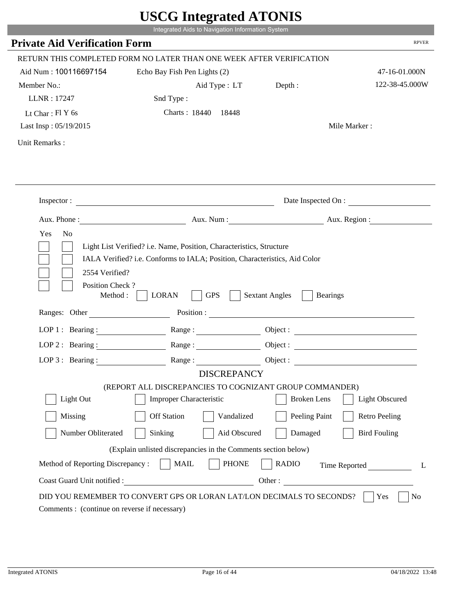|                                                                                                            | UDUU IIIItgi altu ATUNID<br>Integrated Aids to Navigation Information System |                                   |                       |
|------------------------------------------------------------------------------------------------------------|------------------------------------------------------------------------------|-----------------------------------|-----------------------|
| <b>Private Aid Verification Form</b>                                                                       |                                                                              |                                   | <b>RPVER</b>          |
|                                                                                                            | RETURN THIS COMPLETED FORM NO LATER THAN ONE WEEK AFTER VERIFICATION         |                                   |                       |
| Aid Num: 100116697154                                                                                      | Echo Bay Fish Pen Lights (2)                                                 |                                   | 47-16-01.000N         |
| Member No.:                                                                                                | Aid Type : LT                                                                | Depth:                            | 122-38-45.000W        |
| LLNR: 17247                                                                                                | Snd Type:                                                                    |                                   |                       |
| Lt Char: $FIY$ 6s                                                                                          | Charts: 18440 18448                                                          |                                   |                       |
| Last Insp: 05/19/2015                                                                                      |                                                                              |                                   | Mile Marker:          |
| Unit Remarks:                                                                                              |                                                                              |                                   |                       |
|                                                                                                            |                                                                              |                                   |                       |
|                                                                                                            |                                                                              |                                   |                       |
|                                                                                                            | Inspector:                                                                   |                                   | Date Inspected On :   |
|                                                                                                            |                                                                              | Aux. Num: Aux. Region:            |                       |
| Position Check?<br>Method :                                                                                | <b>GPS</b><br><b>LORAN</b><br>Ranges: Other Position : Position :            | <b>Sextant Angles</b><br>Bearings |                       |
| LOP 1 : Bearing : $\frac{1}{\sqrt{1-\frac{1}{2}} \cdot \frac{1}{\sqrt{1-\frac{1}{2}} \cdot \frac{1}{2}}}}$ |                                                                              |                                   |                       |
|                                                                                                            |                                                                              |                                   | Object :              |
| $LOP$ 2 : Bearing :                                                                                        | Range :                                                                      |                                   |                       |
| LOP $3$ : Bearing:                                                                                         | <b>DISCREPANCY</b>                                                           | Object :                          |                       |
|                                                                                                            | (REPORT ALL DISCREPANCIES TO COGNIZANT GROUP COMMANDER)                      |                                   |                       |
| Light Out                                                                                                  | <b>Improper Characteristic</b>                                               | <b>Broken</b> Lens                | <b>Light Obscured</b> |
| Missing                                                                                                    | <b>Off Station</b><br>Vandalized                                             | Peeling Paint                     | <b>Retro Peeling</b>  |
| Number Obliterated                                                                                         | Sinking<br>Aid Obscured                                                      | Damaged                           | <b>Bird Fouling</b>   |
|                                                                                                            | (Explain unlisted discrepancies in the Comments section below)               |                                   |                       |
| Method of Reporting Discrepancy:                                                                           | <b>PHONE</b><br><b>MAIL</b>                                                  | <b>RADIO</b>                      | Time Reported<br>L    |
| Coast Guard Unit notified :                                                                                | <u> 1990 - Johann Barbara, martin a</u>                                      | Other:                            |                       |
|                                                                                                            | DID YOU REMEMBER TO CONVERT GPS OR LORAN LAT/LON DECIMALS TO SECONDS?        |                                   | N <sub>0</sub><br>Yes |
| Comments : (continue on reverse if necessary)                                                              |                                                                              |                                   |                       |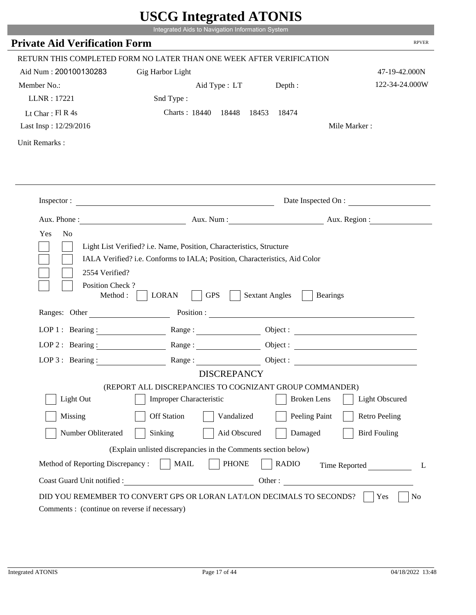|                                                      | Integrated Aids to Navigation Information System                                                                                                                                                                                                                                                                                                                 |                       |                              |
|------------------------------------------------------|------------------------------------------------------------------------------------------------------------------------------------------------------------------------------------------------------------------------------------------------------------------------------------------------------------------------------------------------------------------|-----------------------|------------------------------|
| <b>Private Aid Verification Form</b>                 |                                                                                                                                                                                                                                                                                                                                                                  |                       | <b>RPVER</b>                 |
|                                                      | RETURN THIS COMPLETED FORM NO LATER THAN ONE WEEK AFTER VERIFICATION                                                                                                                                                                                                                                                                                             |                       |                              |
| Aid Num: 200100130283                                | Gig Harbor Light                                                                                                                                                                                                                                                                                                                                                 |                       | 47-19-42.000N                |
| Member No.:                                          | Aid Type : LT                                                                                                                                                                                                                                                                                                                                                    | Depth :               | 122-34-24.000W               |
| LLNR: 17221                                          | Snd Type:                                                                                                                                                                                                                                                                                                                                                        |                       |                              |
| Lt Char: $FI R 4s$                                   | Charts: 18440 18448 18453 18474                                                                                                                                                                                                                                                                                                                                  |                       |                              |
| Last Insp: 12/29/2016                                |                                                                                                                                                                                                                                                                                                                                                                  |                       | Mile Marker:                 |
| Unit Remarks:                                        |                                                                                                                                                                                                                                                                                                                                                                  |                       |                              |
|                                                      |                                                                                                                                                                                                                                                                                                                                                                  |                       |                              |
|                                                      | Inspector:                                                                                                                                                                                                                                                                                                                                                       |                       | Date Inspected On :          |
|                                                      | Aux. Phone: Aux. Aux. Num : Aux. Aux. Region :                                                                                                                                                                                                                                                                                                                   |                       |                              |
| 2554 Verified?                                       | Light List Verified? i.e. Name, Position, Characteristics, Structure<br>IALA Verified? i.e. Conforms to IALA; Position, Characteristics, Aid Color                                                                                                                                                                                                               |                       |                              |
| Position Check?<br>Method : $\vert$<br>Ranges: Other | <b>GPS</b><br><b>LORAN</b>                                                                                                                                                                                                                                                                                                                                       | <b>Sextant Angles</b> | <b>Bearings</b>              |
|                                                      |                                                                                                                                                                                                                                                                                                                                                                  |                       |                              |
|                                                      | LOP 1 : Bearing : Range :                                                                                                                                                                                                                                                                                                                                        |                       | Object:                      |
| LOP $2:$ Bearing :                                   | $Range: \begin{tabular}{ c c } \hline \rule{0.3cm}{.04cm} \rule{0.3cm}{.04cm} \rule{0.3cm}{.04cm} \rule{0.3cm}{.04cm} \rule{0.3cm}{.04cm} \rule{0.3cm}{.04cm} \rule{0.3cm}{.04cm} \rule{0.3cm}{.04cm} \rule{0.3cm}{.04cm} \rule{0.3cm}{.04cm} \rule{0.3cm}{.04cm} \rule{0.3cm}{.04cm} \rule{0.3cm}{.04cm} \rule{0.3cm}{.04cm} \rule{0.3cm}{.04cm} \rule{0.3cm}{$ |                       |                              |
|                                                      | LOP 3: Bearing: Range: Name: Object:<br><b>DISCREPANCY</b>                                                                                                                                                                                                                                                                                                       |                       |                              |
|                                                      | (REPORT ALL DISCREPANCIES TO COGNIZANT GROUP COMMANDER)                                                                                                                                                                                                                                                                                                          |                       |                              |
| Light Out                                            | Improper Characteristic                                                                                                                                                                                                                                                                                                                                          | <b>Broken</b> Lens    | <b>Light Obscured</b>        |
| Missing                                              | <b>Off Station</b><br>Vandalized                                                                                                                                                                                                                                                                                                                                 | Peeling Paint         | <b>Retro Peeling</b>         |
| Number Obliterated                                   | Sinking<br>Aid Obscured                                                                                                                                                                                                                                                                                                                                          | Damaged               | <b>Bird Fouling</b>          |
|                                                      | (Explain unlisted discrepancies in the Comments section below)                                                                                                                                                                                                                                                                                                   |                       |                              |
| Method of Reporting Discrepancy:                     | <b>PHONE</b><br><b>MAIL</b>                                                                                                                                                                                                                                                                                                                                      | <b>RADIO</b>          |                              |
| Coast Guard Unit notified :                          |                                                                                                                                                                                                                                                                                                                                                                  |                       | Time Reported<br>L<br>Other: |

i i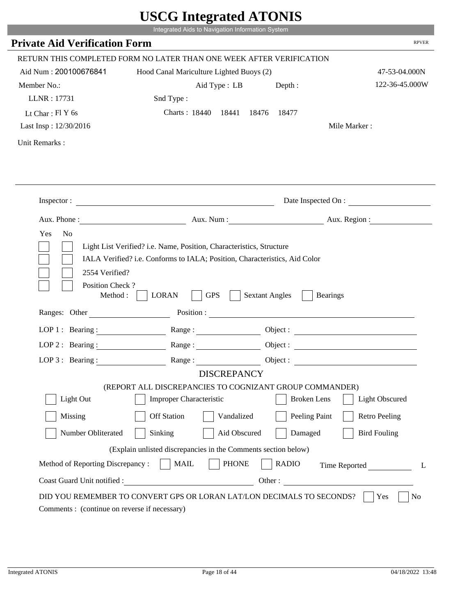|                                             | UDUU IIIIU ARUU ATUNID<br>Integrated Aids to Navigation Information System                                                                         |                       |                          |
|---------------------------------------------|----------------------------------------------------------------------------------------------------------------------------------------------------|-----------------------|--------------------------|
| <b>Private Aid Verification Form</b>        |                                                                                                                                                    |                       | <b>RPVER</b>             |
|                                             | RETURN THIS COMPLETED FORM NO LATER THAN ONE WEEK AFTER VERIFICATION                                                                               |                       |                          |
| Aid Num: 200100676841                       | Hood Canal Mariculture Lighted Buoys (2)                                                                                                           |                       | 47-53-04.000N            |
| Member No.:                                 | Aid Type : LB                                                                                                                                      | Depth:                | 122-36-45.000W           |
| LLNR: 17731                                 | Snd Type:                                                                                                                                          |                       |                          |
| Lt Char: $FIY$ 6s                           | Charts: 18440 18441                                                                                                                                | 18476<br>18477        |                          |
| Last Insp: 12/30/2016                       |                                                                                                                                                    |                       | Mile Marker:             |
| Unit Remarks:                               |                                                                                                                                                    |                       |                          |
|                                             |                                                                                                                                                    |                       |                          |
|                                             | Inspector:                                                                                                                                         |                       | Date Inspected On :      |
| Aux. Phone :                                |                                                                                                                                                    |                       | Aux. Num : Aux. Region : |
| Yes<br>N <sub>o</sub><br>2554 Verified?     | Light List Verified? i.e. Name, Position, Characteristics, Structure<br>IALA Verified? i.e. Conforms to IALA; Position, Characteristics, Aid Color |                       |                          |
| Position Check?<br>Method:<br>Ranges: Other | <b>GPS</b><br><b>LORAN</b><br>Position :                                                                                                           | <b>Sextant Angles</b> | <b>Bearings</b>          |
|                                             |                                                                                                                                                    |                       |                          |
| LOP 1 : Bearing :<br>$LOP$ 2 : Bearing :    |                                                                                                                                                    |                       |                          |
|                                             | Range:                                                                                                                                             |                       |                          |
| LOP $3$ : Bearing :                         | Range:<br><b>DISCREPANCY</b>                                                                                                                       |                       |                          |
|                                             | (REPORT ALL DISCREPANCIES TO COGNIZANT GROUP COMMANDER)                                                                                            |                       |                          |
| Light Out                                   | <b>Improper Characteristic</b>                                                                                                                     | <b>Broken</b> Lens    | <b>Light Obscured</b>    |
| Missing                                     | <b>Off Station</b><br>Vandalized                                                                                                                   | Peeling Paint         | <b>Retro Peeling</b>     |
| Number Obliterated                          | Sinking<br>Aid Obscured                                                                                                                            | Damaged               | <b>Bird Fouling</b>      |
|                                             | (Explain unlisted discrepancies in the Comments section below)                                                                                     |                       |                          |
| Method of Reporting Discrepancy:            | <b>PHONE</b><br><b>MAIL</b>                                                                                                                        | <b>RADIO</b>          | Time Reported<br>L       |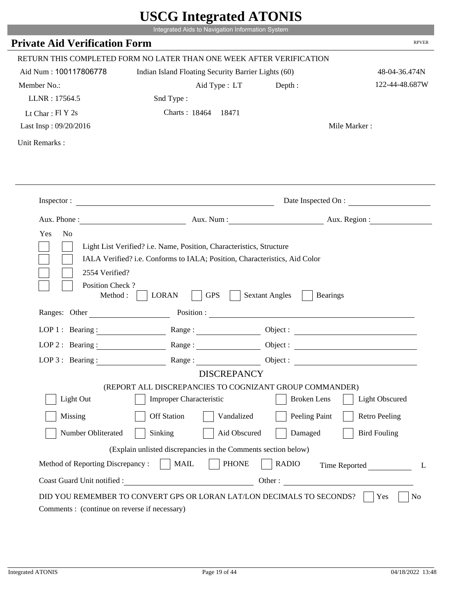|                                         |                                                                                                                                                    | $\sigma$ million $\mu$ |                       |
|-----------------------------------------|----------------------------------------------------------------------------------------------------------------------------------------------------|------------------------|-----------------------|
|                                         | Integrated Aids to Navigation Information System                                                                                                   |                        |                       |
| <b>Private Aid Verification Form</b>    |                                                                                                                                                    |                        | <b>RPVER</b>          |
|                                         | RETURN THIS COMPLETED FORM NO LATER THAN ONE WEEK AFTER VERIFICATION                                                                               |                        |                       |
| Aid Num: 100117806778                   | Indian Island Floating Security Barrier Lights (60)                                                                                                |                        | 48-04-36.474N         |
| Member No.:                             | Aid Type: LT                                                                                                                                       | Depth :                | 122-44-48.687W        |
| LLNR: 17564.5                           | Snd Type:                                                                                                                                          |                        |                       |
| Lt Char: $FI Y 2s$                      | Charts: 18464 18471                                                                                                                                |                        |                       |
| Last Insp: 09/20/2016                   |                                                                                                                                                    |                        | Mile Marker:          |
| Unit Remarks:                           |                                                                                                                                                    |                        |                       |
|                                         |                                                                                                                                                    |                        |                       |
|                                         |                                                                                                                                                    |                        | Date Inspected On :   |
|                                         | Aux. Phone: Aux. Num : Aux. Num : Aux. Region :                                                                                                    |                        |                       |
| Yes<br>N <sub>o</sub><br>2554 Verified? | Light List Verified? i.e. Name, Position, Characteristics, Structure<br>IALA Verified? i.e. Conforms to IALA; Position, Characteristics, Aid Color |                        |                       |
| Position Check?<br>Method : $\vert$     | <b>GPS</b><br><b>LORAN</b><br>$\sim$ 1                                                                                                             | <b>Sextant Angles</b>  | <b>Bearings</b>       |
| Ranges: Other                           |                                                                                                                                                    |                        | Position :            |
|                                         | LOP 1: Bearing: Range:                                                                                                                             |                        |                       |
|                                         | LOP 2: Bearing: $\qquad \qquad \text{Range} :$                                                                                                     |                        |                       |
| LOP 3: Bearing :                        | Range:                                                                                                                                             |                        | Object :              |
|                                         | <b>DISCREPANCY</b>                                                                                                                                 |                        |                       |
|                                         | (REPORT ALL DISCREPANCIES TO COGNIZANT GROUP COMMANDER)                                                                                            |                        |                       |
| Light Out                               | Improper Characteristic                                                                                                                            | <b>Broken</b> Lens     | <b>Light Obscured</b> |
| Missing                                 | <b>Off Station</b><br>Vandalized                                                                                                                   | Peeling Paint          | <b>Retro Peeling</b>  |
| Number Obliterated                      | Sinking<br>Aid Obscured                                                                                                                            | Damaged                | <b>Bird Fouling</b>   |
|                                         | (Explain unlisted discrepancies in the Comments section below)                                                                                     |                        |                       |
| Method of Reporting Discrepancy:        | <b>PHONE</b><br><b>MAIL</b>                                                                                                                        | <b>RADIO</b>           | Time Reported         |

p.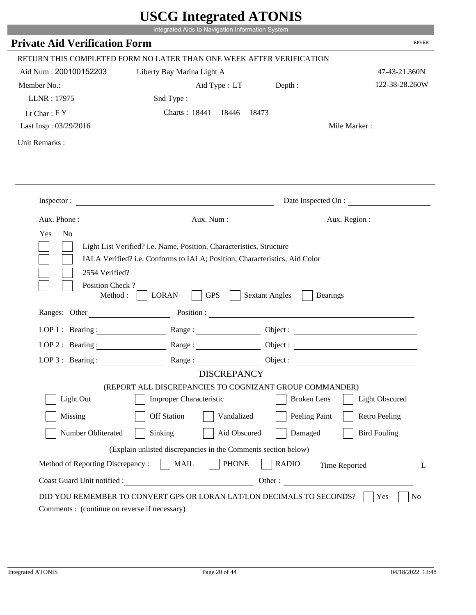|                                         | UDUU IIIIU ARUU ATUNID                                                                                                                                                                                                         |                                          |                              |
|-----------------------------------------|--------------------------------------------------------------------------------------------------------------------------------------------------------------------------------------------------------------------------------|------------------------------------------|------------------------------|
|                                         | Integrated Aids to Navigation Information System                                                                                                                                                                               |                                          |                              |
| <b>Private Aid Verification Form</b>    |                                                                                                                                                                                                                                |                                          | <b>RPVER</b>                 |
|                                         | RETURN THIS COMPLETED FORM NO LATER THAN ONE WEEK AFTER VERIFICATION                                                                                                                                                           |                                          |                              |
| Aid Num: 200100152203                   | Liberty Bay Marina Light A                                                                                                                                                                                                     |                                          | 47-43-21.360N                |
| Member No.:                             | Aid Type : LT Depth :                                                                                                                                                                                                          |                                          | 122-38-28.260W               |
| LLNR: 17975                             | Snd Type:                                                                                                                                                                                                                      |                                          |                              |
| Lt Char: $FY$                           | Charts: 18441 18446 18473                                                                                                                                                                                                      |                                          |                              |
| Last Insp: 03/29/2016                   |                                                                                                                                                                                                                                |                                          | Mile Marker:                 |
| Unit Remarks:                           |                                                                                                                                                                                                                                |                                          |                              |
|                                         |                                                                                                                                                                                                                                |                                          |                              |
|                                         | Inspector:                                                                                                                                                                                                                     |                                          | Date Inspected On :          |
|                                         |                                                                                                                                                                                                                                |                                          | Aux. Num: Aux. Region:       |
| Yes<br>N <sub>o</sub><br>2554 Verified? | Light List Verified? i.e. Name, Position, Characteristics, Structure<br>IALA Verified? i.e. Conforms to IALA; Position, Characteristics, Aid Color                                                                             |                                          |                              |
| Position Check?<br>Method :             | <b>GPS</b><br><b>LORAN</b>                                                                                                                                                                                                     | <b>Sextant Angles</b><br><b>Bearings</b> |                              |
|                                         | Ranges: Other Position : Position : 2000 Position : 2000 Position : 2000 Position : 2000 Position : 2000 Position : 2000 Position : 2000 Position : 2000 Position : 2000 Position : 2000 Position : 2000 Position : 2000 Posit |                                          |                              |
| LOP 1 : Bearing :                       |                                                                                                                                                                                                                                |                                          |                              |
| LOP $2:$ Bearing :                      | Range:                                                                                                                                                                                                                         |                                          | Object :                     |
| $LOP 3:$ Bearing :                      | Range:                                                                                                                                                                                                                         |                                          | Object :                     |
|                                         | <b>DISCREPANCY</b>                                                                                                                                                                                                             |                                          |                              |
|                                         | (REPORT ALL DISCREPANCIES TO COGNIZANT GROUP COMMANDER)                                                                                                                                                                        |                                          |                              |
| Light Out                               | <b>Improper Characteristic</b>                                                                                                                                                                                                 | <b>Broken</b> Lens                       | <b>Light Obscured</b>        |
| Missing                                 | <b>Off Station</b><br>Vandalized                                                                                                                                                                                               | Peeling Paint                            | <b>Retro Peeling</b>         |
| Number Obliterated                      | Aid Obscured<br>Sinking                                                                                                                                                                                                        | Damaged                                  | <b>Bird Fouling</b>          |
|                                         | (Explain unlisted discrepancies in the Comments section below)                                                                                                                                                                 |                                          |                              |
| Method of Reporting Discrepancy:        | <b>PHONE</b><br><b>MAIL</b>                                                                                                                                                                                                    | <b>RADIO</b>                             |                              |
| Coast Guard Unit notified :             |                                                                                                                                                                                                                                |                                          | Time Reported<br>L<br>Other: |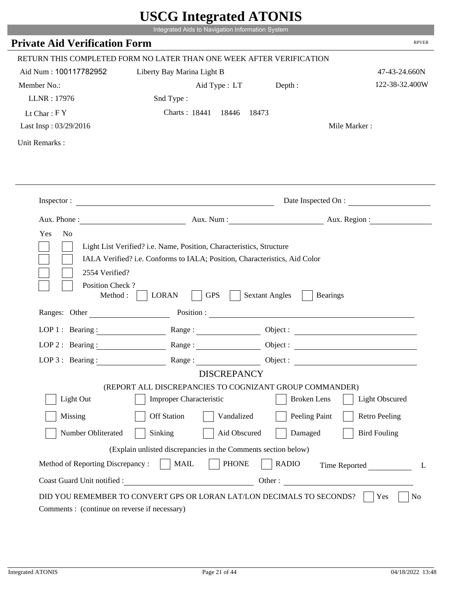|                                      |                                                                        | UDUU IIIIU ARUU ATUNID                   |                        |
|--------------------------------------|------------------------------------------------------------------------|------------------------------------------|------------------------|
|                                      | Integrated Aids to Navigation Information System                       |                                          |                        |
| <b>Private Aid Verification Form</b> |                                                                        |                                          | <b>RPVER</b>           |
|                                      | RETURN THIS COMPLETED FORM NO LATER THAN ONE WEEK AFTER VERIFICATION   |                                          |                        |
| Aid Num: 100117782952                | Liberty Bay Marina Light B                                             |                                          | 47-43-24.660N          |
| Member No.:                          | Aid Type : LT Depth :                                                  |                                          | 122-38-32.400W         |
| LLNR: 17976                          | Snd Type:                                                              |                                          |                        |
| Lt Char: $FY$                        | Charts: 18441 18446 18473                                              |                                          |                        |
| Last Insp: 03/29/2016                |                                                                        |                                          | Mile Marker:           |
| Unit Remarks:                        |                                                                        |                                          |                        |
|                                      |                                                                        |                                          |                        |
|                                      | Inspector:                                                             |                                          | Date Inspected On :    |
|                                      |                                                                        |                                          | Aux. Num: Aux. Region: |
| Position Check?<br>Method :          | <b>GPS</b><br><b>LORAN</b><br>Ranges: Other Position : Position : 2008 | <b>Sextant Angles</b><br><b>Bearings</b> |                        |
| LOP 1 : Bearing :                    |                                                                        |                                          |                        |
| LOP $2:$ Bearing :                   |                                                                        |                                          |                        |
|                                      |                                                                        |                                          |                        |
|                                      | Range:                                                                 |                                          | Object :               |
| $LOP 3:$ Bearing :                   | Range:                                                                 |                                          | Object :               |
|                                      | <b>DISCREPANCY</b>                                                     |                                          |                        |
|                                      | (REPORT ALL DISCREPANCIES TO COGNIZANT GROUP COMMANDER)                |                                          |                        |
| Light Out                            | <b>Improper Characteristic</b>                                         | <b>Broken</b> Lens                       | <b>Light Obscured</b>  |
| Missing                              | <b>Off Station</b><br>Vandalized                                       | Peeling Paint                            | <b>Retro Peeling</b>   |
| Number Obliterated                   | Aid Obscured<br>Sinking                                                | Damaged                                  | <b>Bird Fouling</b>    |
|                                      | (Explain unlisted discrepancies in the Comments section below)         |                                          |                        |
| Method of Reporting Discrepancy:     | <b>PHONE</b><br><b>MAIL</b>                                            | <b>RADIO</b>                             |                        |
| Coast Guard Unit notified :          |                                                                        |                                          | Time Reported<br>L     |
|                                      | DID YOU REMEMBER TO CONVERT GPS OR LORAN LAT/LON DECIMALS TO SECONDS?  | Other:                                   | No<br>Yes              |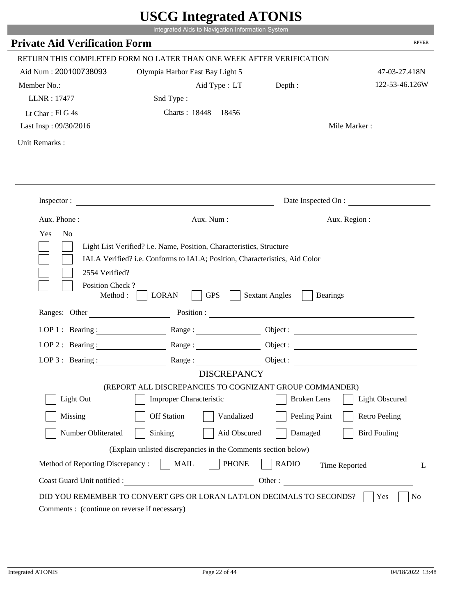|                                                                | UDUU IIIItgi altu ATUNID                                              |                                                        |                          |
|----------------------------------------------------------------|-----------------------------------------------------------------------|--------------------------------------------------------|--------------------------|
|                                                                | Integrated Aids to Navigation Information System                      |                                                        |                          |
| <b>Private Aid Verification Form</b>                           |                                                                       |                                                        | <b>RPVER</b>             |
|                                                                | RETURN THIS COMPLETED FORM NO LATER THAN ONE WEEK AFTER VERIFICATION  |                                                        |                          |
| Aid Num: 200100738093                                          | Olympia Harbor East Bay Light 5                                       |                                                        | 47-03-27.418N            |
| Member No.:                                                    | Aid Type : LT                                                         | Depth:                                                 | 122-53-46.126W           |
| LLNR: 17477                                                    | Snd Type:                                                             |                                                        |                          |
| Lt Char: Fl G 4s                                               | Charts: 18448 18456                                                   |                                                        |                          |
| Last Insp: 09/30/2016                                          |                                                                       |                                                        | Mile Marker:             |
| Unit Remarks:                                                  |                                                                       |                                                        |                          |
|                                                                |                                                                       |                                                        |                          |
|                                                                | Inspector: $\qquad \qquad$                                            |                                                        | Date Inspected On :      |
|                                                                |                                                                       |                                                        | Aux. Num : Aux. Region : |
| 2554 Verified?<br>Position Check?<br>Method :<br>Ranges: Other | <b>GPS</b><br><b>LORAN</b>                                            | <b>Sextant Angles</b><br><b>Bearings</b><br>Position : |                          |
|                                                                |                                                                       |                                                        |                          |
| LOP 1 : Bearing :                                              |                                                                       |                                                        | Object :                 |
| LOP $2:$ Bearing :                                             | Range:                                                                |                                                        | Object :                 |
| $LOP$ 3 : Bearing :                                            | Range:                                                                |                                                        | Object :                 |
|                                                                | <b>DISCREPANCY</b>                                                    |                                                        |                          |
|                                                                | (REPORT ALL DISCREPANCIES TO COGNIZANT GROUP COMMANDER)               |                                                        |                          |
| Light Out                                                      | <b>Improper Characteristic</b>                                        | <b>Broken</b> Lens                                     | <b>Light Obscured</b>    |
| Missing                                                        | <b>Off Station</b><br>Vandalized                                      | Peeling Paint                                          | <b>Retro Peeling</b>     |
| Number Obliterated                                             | Aid Obscured<br>Sinking                                               | Damaged                                                | <b>Bird Fouling</b>      |
|                                                                |                                                                       |                                                        |                          |
|                                                                | (Explain unlisted discrepancies in the Comments section below)        |                                                        |                          |
| Method of Reporting Discrepancy:                               | <b>PHONE</b><br><b>MAIL</b>                                           | <b>RADIO</b>                                           |                          |
| Coast Guard Unit notified :                                    |                                                                       | Other:                                                 | Time Reported<br>L       |
|                                                                | DID YOU REMEMBER TO CONVERT GPS OR LORAN LAT/LON DECIMALS TO SECONDS? |                                                        | No<br>Yes                |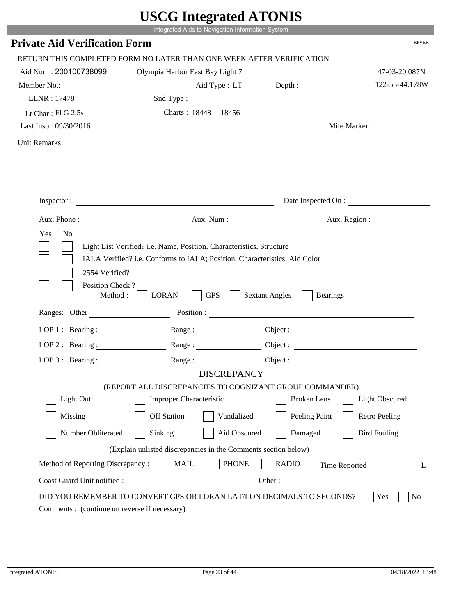|                                              | Integrated Aids to Navigation Information System                                                                                                   | UDUU IIIItgi attu ATUNID |                        |
|----------------------------------------------|----------------------------------------------------------------------------------------------------------------------------------------------------|--------------------------|------------------------|
| <b>Private Aid Verification Form</b>         |                                                                                                                                                    |                          | <b>RPVER</b>           |
|                                              | RETURN THIS COMPLETED FORM NO LATER THAN ONE WEEK AFTER VERIFICATION                                                                               |                          |                        |
| Aid Num: 200100738099                        | Olympia Harbor East Bay Light 7                                                                                                                    |                          | 47-03-20.087N          |
| Member No.:                                  | Aid Type : LT Depth :                                                                                                                              |                          | 122-53-44.178W         |
| LLNR: 17478                                  | Snd Type:                                                                                                                                          |                          |                        |
| Lt Char: $FIG$ 2.5s                          | Charts: 18448 18456                                                                                                                                |                          |                        |
| Last Insp: 09/30/2016                        |                                                                                                                                                    |                          | Mile Marker:           |
| Unit Remarks:                                |                                                                                                                                                    |                          |                        |
|                                              |                                                                                                                                                    |                          |                        |
|                                              | Inspector:                                                                                                                                         |                          | Date Inspected On :    |
|                                              |                                                                                                                                                    |                          | Aux. Num: Aux. Region: |
| Yes<br>N <sub>0</sub>                        | Light List Verified? i.e. Name, Position, Characteristics, Structure<br>IALA Verified? i.e. Conforms to IALA; Position, Characteristics, Aid Color |                          |                        |
| 2554 Verified?<br>Position Check?<br>Method: | <b>GPS</b><br><b>LORAN</b><br>Ranges: Other Position : Position :                                                                                  | <b>Sextant Angles</b>    | <b>Bearings</b>        |
|                                              |                                                                                                                                                    |                          |                        |
| LOP 1 : Bearing : $\qquad \qquad$            |                                                                                                                                                    |                          | Object :               |
| $LOP$ 2 : Bearing :                          | $Range: \underline{\qquad \qquad }$                                                                                                                |                          |                        |
| LOP $3$ : Bearing:                           | <b>DISCREPANCY</b>                                                                                                                                 | Object :                 |                        |
|                                              | (REPORT ALL DISCREPANCIES TO COGNIZANT GROUP COMMANDER)                                                                                            |                          |                        |
| Light Out                                    | <b>Improper Characteristic</b>                                                                                                                     | <b>Broken</b> Lens       | <b>Light Obscured</b>  |
| Missing                                      | <b>Off Station</b><br>Vandalized                                                                                                                   | Peeling Paint            | <b>Retro Peeling</b>   |
| Number Obliterated                           | Sinking<br>Aid Obscured                                                                                                                            | Damaged                  | <b>Bird Fouling</b>    |
|                                              | (Explain unlisted discrepancies in the Comments section below)                                                                                     |                          |                        |
| Method of Reporting Discrepancy:             | <b>PHONE</b><br><b>MAIL</b>                                                                                                                        | <b>RADIO</b>             | Time Reported<br>L     |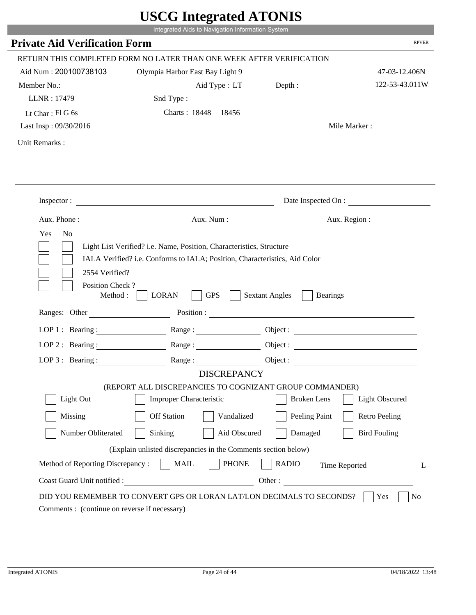|                                              | UDUU IIIItgi altu ATUNID<br>Integrated Aids to Navigation Information System |                                                        |                          |
|----------------------------------------------|------------------------------------------------------------------------------|--------------------------------------------------------|--------------------------|
|                                              |                                                                              |                                                        | <b>RPVER</b>             |
| <b>Private Aid Verification Form</b>         |                                                                              |                                                        |                          |
|                                              | RETURN THIS COMPLETED FORM NO LATER THAN ONE WEEK AFTER VERIFICATION         |                                                        |                          |
| Aid Num: 200100738103                        | Olympia Harbor East Bay Light 9                                              |                                                        | 47-03-12.406N            |
| Member No.:                                  | Aid Type : LT                                                                | Depth :                                                | 122-53-43.011W           |
| LLNR: 17479                                  | Snd Type:                                                                    |                                                        |                          |
| Lt Char: Fl G 6s                             | Charts: 18448 18456                                                          |                                                        |                          |
| Last Insp: 09/30/2016                        |                                                                              |                                                        | Mile Marker:             |
| Unit Remarks:                                |                                                                              |                                                        |                          |
|                                              |                                                                              |                                                        |                          |
|                                              | Inspector: $\qquad \qquad$                                                   |                                                        | Date Inspected On :      |
|                                              |                                                                              |                                                        | Aux. Num : Aux. Region : |
| Position Check?<br>Method :<br>Ranges: Other | <b>GPS</b><br><b>LORAN</b>                                                   | <b>Sextant Angles</b><br><b>Bearings</b><br>Position : |                          |
| LOP 1 : Bearing :                            |                                                                              |                                                        | Object :                 |
| LOP $2:$ Bearing :                           | Range:                                                                       |                                                        | Object :                 |
| $LOP$ 3 : Bearing :                          | Range:                                                                       |                                                        |                          |
|                                              | <b>DISCREPANCY</b>                                                           | Object :                                               |                          |
|                                              | (REPORT ALL DISCREPANCIES TO COGNIZANT GROUP COMMANDER)                      |                                                        |                          |
| Light Out                                    | <b>Improper Characteristic</b>                                               | <b>Broken</b> Lens                                     | <b>Light Obscured</b>    |
| Missing                                      | <b>Off Station</b><br>Vandalized                                             | Peeling Paint                                          | <b>Retro Peeling</b>     |
| Number Obliterated                           | Aid Obscured<br>Sinking                                                      | Damaged                                                | <b>Bird Fouling</b>      |
|                                              | (Explain unlisted discrepancies in the Comments section below)               |                                                        |                          |
|                                              |                                                                              |                                                        |                          |
| Method of Reporting Discrepancy:             | <b>PHONE</b><br><b>MAIL</b>                                                  | <b>RADIO</b>                                           | Time Reported<br>L       |
| Coast Guard Unit notified :                  |                                                                              | Other:                                                 |                          |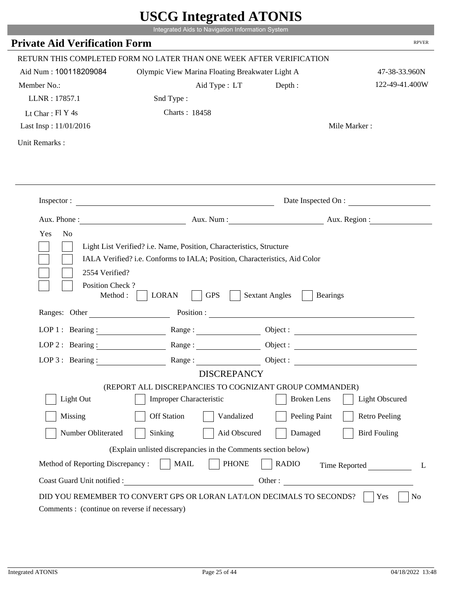|                                                      |                                                                                                                                                    | $\sigma$ most word in $\sigma$                         |                       |
|------------------------------------------------------|----------------------------------------------------------------------------------------------------------------------------------------------------|--------------------------------------------------------|-----------------------|
|                                                      | Integrated Aids to Navigation Information System                                                                                                   |                                                        |                       |
| <b>Private Aid Verification Form</b>                 |                                                                                                                                                    |                                                        | <b>RPVER</b>          |
|                                                      | RETURN THIS COMPLETED FORM NO LATER THAN ONE WEEK AFTER VERIFICATION                                                                               |                                                        |                       |
| Aid Num: 100118209084                                | Olympic View Marina Floating Breakwater Light A                                                                                                    |                                                        | 47-38-33.960N         |
| Member No.:                                          | Aid Type : LT                                                                                                                                      | Depth :                                                | 122-49-41.400W        |
| LLNR: 17857.1                                        | Snd Type:                                                                                                                                          |                                                        |                       |
| Lt Char: Fl Y 4s                                     | Charts: 18458                                                                                                                                      |                                                        |                       |
| Last Insp: 11/01/2016                                |                                                                                                                                                    |                                                        | Mile Marker:          |
| Unit Remarks:                                        |                                                                                                                                                    |                                                        |                       |
|                                                      |                                                                                                                                                    |                                                        |                       |
|                                                      |                                                                                                                                                    |                                                        |                       |
|                                                      | Inspector:                                                                                                                                         |                                                        | Date Inspected On :   |
|                                                      | Aux. Phone: Aux. Num : Aux. Num : Aux. Region :                                                                                                    |                                                        |                       |
| Yes<br>N <sub>o</sub><br>2554 Verified?              | Light List Verified? i.e. Name, Position, Characteristics, Structure<br>IALA Verified? i.e. Conforms to IALA; Position, Characteristics, Aid Color |                                                        |                       |
| Position Check?<br>Method : $\vert$<br>Ranges: Other | <b>GPS</b><br><b>LORAN</b>                                                                                                                         | <b>Sextant Angles</b><br><b>Bearings</b><br>Position : |                       |
|                                                      |                                                                                                                                                    |                                                        |                       |
|                                                      | LOP 1: Bearing: Range:                                                                                                                             |                                                        |                       |
|                                                      | LOP 2: Bearing: $\qquad \qquad \text{Range} :$                                                                                                     |                                                        |                       |
| LOP 3: Bearing :                                     | Range:                                                                                                                                             |                                                        | Object :              |
|                                                      | <b>DISCREPANCY</b>                                                                                                                                 |                                                        |                       |
| Light Out                                            | (REPORT ALL DISCREPANCIES TO COGNIZANT GROUP COMMANDER)<br>Improper Characteristic                                                                 | <b>Broken</b> Lens                                     | <b>Light Obscured</b> |
|                                                      |                                                                                                                                                    |                                                        |                       |
| Missing                                              | <b>Off Station</b><br>Vandalized                                                                                                                   | Peeling Paint                                          | <b>Retro Peeling</b>  |
| Number Obliterated                                   | Sinking<br>Aid Obscured                                                                                                                            | Damaged                                                | <b>Bird Fouling</b>   |
|                                                      | (Explain unlisted discrepancies in the Comments section below)                                                                                     |                                                        |                       |
| Method of Reporting Discrepancy:                     | <b>PHONE</b><br><b>MAIL</b>                                                                                                                        | <b>RADIO</b>                                           | Time Reported         |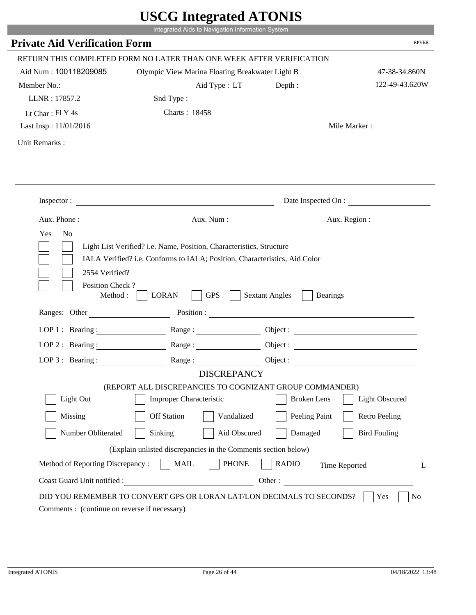|                                                      |                                                                                                                                                                                                                                                                                                                                                                  | $\sigma$ most word in $\sigma$                         |                       |
|------------------------------------------------------|------------------------------------------------------------------------------------------------------------------------------------------------------------------------------------------------------------------------------------------------------------------------------------------------------------------------------------------------------------------|--------------------------------------------------------|-----------------------|
|                                                      | Integrated Aids to Navigation Information System                                                                                                                                                                                                                                                                                                                 |                                                        |                       |
| <b>Private Aid Verification Form</b>                 |                                                                                                                                                                                                                                                                                                                                                                  |                                                        | <b>RPVER</b>          |
|                                                      | RETURN THIS COMPLETED FORM NO LATER THAN ONE WEEK AFTER VERIFICATION                                                                                                                                                                                                                                                                                             |                                                        |                       |
| Aid Num: 100118209085                                | Olympic View Marina Floating Breakwater Light B                                                                                                                                                                                                                                                                                                                  |                                                        | 47-38-34.860N         |
| Member No.:                                          | Aid Type : LT                                                                                                                                                                                                                                                                                                                                                    | Depth :                                                | 122-49-43.620W        |
| LLNR: 17857.2                                        | Snd Type:                                                                                                                                                                                                                                                                                                                                                        |                                                        |                       |
| Lt Char: Fl Y 4s                                     | Charts: 18458                                                                                                                                                                                                                                                                                                                                                    |                                                        |                       |
| Last Insp: 11/01/2016                                |                                                                                                                                                                                                                                                                                                                                                                  |                                                        | Mile Marker:          |
| Unit Remarks:                                        |                                                                                                                                                                                                                                                                                                                                                                  |                                                        |                       |
|                                                      |                                                                                                                                                                                                                                                                                                                                                                  |                                                        |                       |
|                                                      |                                                                                                                                                                                                                                                                                                                                                                  |                                                        |                       |
|                                                      | Inspector:                                                                                                                                                                                                                                                                                                                                                       |                                                        | Date Inspected On :   |
|                                                      | Aux. Phone: Aux. Num : Aux. Num : Aux. Region :                                                                                                                                                                                                                                                                                                                  |                                                        |                       |
| Yes<br>N <sub>o</sub><br>2554 Verified?              | Light List Verified? i.e. Name, Position, Characteristics, Structure<br>IALA Verified? i.e. Conforms to IALA; Position, Characteristics, Aid Color                                                                                                                                                                                                               |                                                        |                       |
| Position Check?<br>Method : $\vert$<br>Ranges: Other | <b>GPS</b><br><b>LORAN</b>                                                                                                                                                                                                                                                                                                                                       | <b>Sextant Angles</b><br><b>Bearings</b><br>Position : |                       |
|                                                      |                                                                                                                                                                                                                                                                                                                                                                  |                                                        |                       |
|                                                      | LOP 1: Bearing: Range:                                                                                                                                                                                                                                                                                                                                           |                                                        |                       |
| LOP $2:$ Bearing :                                   | $Range: \begin{tabular}{ c c } \hline \rule{0.3cm}{.04cm} \rule{0.3cm}{.04cm} \rule{0.3cm}{.04cm} \rule{0.3cm}{.04cm} \rule{0.3cm}{.04cm} \rule{0.3cm}{.04cm} \rule{0.3cm}{.04cm} \rule{0.3cm}{.04cm} \rule{0.3cm}{.04cm} \rule{0.3cm}{.04cm} \rule{0.3cm}{.04cm} \rule{0.3cm}{.04cm} \rule{0.3cm}{.04cm} \rule{0.3cm}{.04cm} \rule{0.3cm}{.04cm} \rule{0.3cm}{$ |                                                        |                       |
| LOP 3: Bearing :                                     | Range:                                                                                                                                                                                                                                                                                                                                                           |                                                        | Object :              |
|                                                      | <b>DISCREPANCY</b>                                                                                                                                                                                                                                                                                                                                               |                                                        |                       |
| Light Out                                            | (REPORT ALL DISCREPANCIES TO COGNIZANT GROUP COMMANDER)<br>Improper Characteristic                                                                                                                                                                                                                                                                               | <b>Broken</b> Lens                                     | <b>Light Obscured</b> |
|                                                      |                                                                                                                                                                                                                                                                                                                                                                  |                                                        |                       |
| Missing                                              | <b>Off Station</b><br>Vandalized                                                                                                                                                                                                                                                                                                                                 | Peeling Paint                                          | <b>Retro Peeling</b>  |
| Number Obliterated                                   | Sinking<br>Aid Obscured                                                                                                                                                                                                                                                                                                                                          | Damaged                                                | <b>Bird Fouling</b>   |
|                                                      | (Explain unlisted discrepancies in the Comments section below)                                                                                                                                                                                                                                                                                                   |                                                        |                       |
| Method of Reporting Discrepancy:                     | <b>PHONE</b><br><b>MAIL</b>                                                                                                                                                                                                                                                                                                                                      | <b>RADIO</b>                                           | Time Reported         |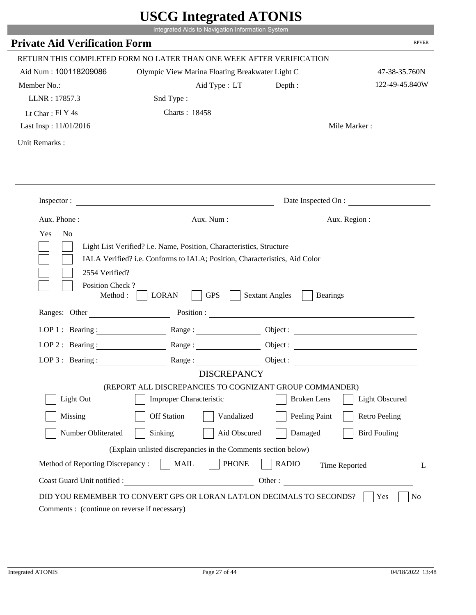|                                                       | Integrated Aids to Navigation Information System                                                                                                                                                                                                                                                                                                                 |                                          |                       |
|-------------------------------------------------------|------------------------------------------------------------------------------------------------------------------------------------------------------------------------------------------------------------------------------------------------------------------------------------------------------------------------------------------------------------------|------------------------------------------|-----------------------|
| <b>Private Aid Verification Form</b>                  |                                                                                                                                                                                                                                                                                                                                                                  |                                          | <b>RPVER</b>          |
|                                                       | RETURN THIS COMPLETED FORM NO LATER THAN ONE WEEK AFTER VERIFICATION                                                                                                                                                                                                                                                                                             |                                          |                       |
| Aid Num: 100118209086                                 | Olympic View Marina Floating Breakwater Light C                                                                                                                                                                                                                                                                                                                  |                                          | 47-38-35.760N         |
| Member No.:                                           | Aid Type : LT                                                                                                                                                                                                                                                                                                                                                    | Depth:                                   | 122-49-45.840W        |
| LLNR: 17857.3                                         | Snd Type:                                                                                                                                                                                                                                                                                                                                                        |                                          |                       |
| Lt Char: Fl Y 4s                                      | Charts: 18458                                                                                                                                                                                                                                                                                                                                                    |                                          |                       |
| Last Insp: 11/01/2016                                 |                                                                                                                                                                                                                                                                                                                                                                  |                                          | Mile Marker:          |
| Unit Remarks:                                         |                                                                                                                                                                                                                                                                                                                                                                  |                                          |                       |
|                                                       |                                                                                                                                                                                                                                                                                                                                                                  |                                          |                       |
|                                                       | Inspector:                                                                                                                                                                                                                                                                                                                                                       |                                          | Date Inspected On :   |
|                                                       | Aux. Phone: Aux. Num : Aux. Num : Aux. Region :                                                                                                                                                                                                                                                                                                                  |                                          |                       |
| Yes<br>N <sub>o</sub>                                 | Light List Verified? i.e. Name, Position, Characteristics, Structure<br>IALA Verified? i.e. Conforms to IALA; Position, Characteristics, Aid Color                                                                                                                                                                                                               |                                          |                       |
| 2554 Verified?<br>Position Check?<br>Method : $\vert$ | <b>GPS</b><br><b>LORAN</b>                                                                                                                                                                                                                                                                                                                                       | <b>Sextant Angles</b><br><b>Bearings</b> |                       |
| Ranges: Other                                         |                                                                                                                                                                                                                                                                                                                                                                  | Position :                               |                       |
|                                                       | LOP 1: Bearing: Range:                                                                                                                                                                                                                                                                                                                                           |                                          |                       |
| LOP $2:$ Bearing :                                    | $Range: \begin{tabular}{ c c } \hline \rule{0.3cm}{.04cm} \rule{0.3cm}{.04cm} \rule{0.3cm}{.04cm} \rule{0.3cm}{.04cm} \rule{0.3cm}{.04cm} \rule{0.3cm}{.04cm} \rule{0.3cm}{.04cm} \rule{0.3cm}{.04cm} \rule{0.3cm}{.04cm} \rule{0.3cm}{.04cm} \rule{0.3cm}{.04cm} \rule{0.3cm}{.04cm} \rule{0.3cm}{.04cm} \rule{0.3cm}{.04cm} \rule{0.3cm}{.04cm} \rule{0.3cm}{$ |                                          |                       |
| LOP 3: Bearing :                                      | Range:                                                                                                                                                                                                                                                                                                                                                           |                                          | Object :              |
|                                                       | <b>DISCREPANCY</b>                                                                                                                                                                                                                                                                                                                                               |                                          |                       |
| Light Out                                             | (REPORT ALL DISCREPANCIES TO COGNIZANT GROUP COMMANDER)<br>Improper Characteristic                                                                                                                                                                                                                                                                               | <b>Broken</b> Lens                       | <b>Light Obscured</b> |
|                                                       |                                                                                                                                                                                                                                                                                                                                                                  |                                          |                       |
| Missing                                               | <b>Off Station</b><br>Vandalized                                                                                                                                                                                                                                                                                                                                 | Peeling Paint                            | <b>Retro Peeling</b>  |
| Number Obliterated                                    | Sinking<br>Aid Obscured                                                                                                                                                                                                                                                                                                                                          | Damaged                                  | <b>Bird Fouling</b>   |
|                                                       | (Explain unlisted discrepancies in the Comments section below)                                                                                                                                                                                                                                                                                                   |                                          |                       |
| Method of Reporting Discrepancy:                      | <b>PHONE</b><br><b>MAIL</b>                                                                                                                                                                                                                                                                                                                                      | <b>RADIO</b>                             | Time Reported         |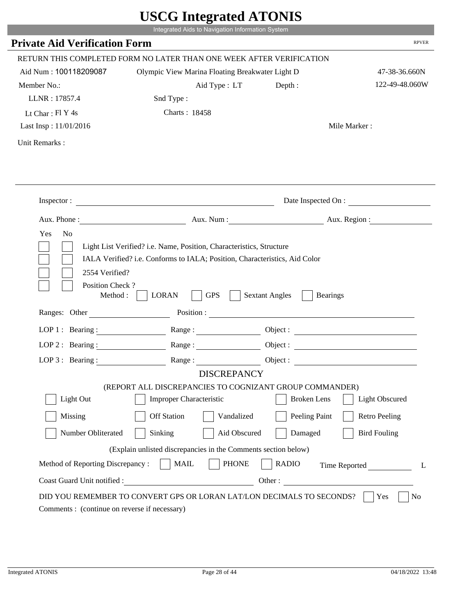| <b>Private Aid Verification Form</b>         | Integrated Aids to Navigation Information System                                                                                                   |                       | <b>RPVER</b>          |
|----------------------------------------------|----------------------------------------------------------------------------------------------------------------------------------------------------|-----------------------|-----------------------|
|                                              |                                                                                                                                                    |                       |                       |
|                                              | RETURN THIS COMPLETED FORM NO LATER THAN ONE WEEK AFTER VERIFICATION                                                                               |                       |                       |
| Aid Num: 100118209087                        | Olympic View Marina Floating Breakwater Light D                                                                                                    |                       | 47-38-36.660N         |
| Member No.:                                  | Aid Type : LT                                                                                                                                      | Depth :               | 122-49-48.060W        |
| LLNR: 17857.4                                | Snd Type:                                                                                                                                          |                       |                       |
| Lt Char: Fl Y 4s                             | Charts: 18458                                                                                                                                      |                       |                       |
| Last Insp: 11/01/2016                        |                                                                                                                                                    |                       | Mile Marker:          |
| Unit Remarks:                                |                                                                                                                                                    |                       |                       |
|                                              |                                                                                                                                                    |                       |                       |
|                                              | Inspector:                                                                                                                                         |                       | Date Inspected On :   |
|                                              | Aux. Phone : Aux. Num : Aux. Num : Aux. Num : Aux. Region :                                                                                        |                       |                       |
| 2554 Verified?                               | Light List Verified? i.e. Name, Position, Characteristics, Structure<br>IALA Verified? i.e. Conforms to IALA; Position, Characteristics, Aid Color |                       |                       |
| Position Check?<br>Method :<br>Ranges: Other | <b>LORAN</b><br><b>GPS</b>                                                                                                                         | <b>Sextant Angles</b> | <b>Bearings</b>       |
|                                              |                                                                                                                                                    |                       |                       |
|                                              | LOP 1: Bearing: Range:                                                                                                                             |                       |                       |
|                                              | LOP 2: Bearing: $\qquad \qquad$ Range:                                                                                                             |                       |                       |
| LOP $3:$ Bearing :                           | Range:<br><b>DISCREPANCY</b>                                                                                                                       |                       | Object :              |
|                                              | (REPORT ALL DISCREPANCIES TO COGNIZANT GROUP COMMANDER)                                                                                            |                       |                       |
| Light Out                                    | <b>Improper Characteristic</b>                                                                                                                     | <b>Broken</b> Lens    | <b>Light Obscured</b> |
| Missing                                      | <b>Off Station</b><br>Vandalized                                                                                                                   | Peeling Paint         | <b>Retro Peeling</b>  |
| Number Obliterated                           | Aid Obscured<br>Sinking                                                                                                                            | Damaged               | <b>Bird Fouling</b>   |
|                                              | (Explain unlisted discrepancies in the Comments section below)                                                                                     |                       |                       |
| Method of Reporting Discrepancy:             | <b>PHONE</b><br><b>MAIL</b>                                                                                                                        | <b>RADIO</b>          | Time Reported         |

Т.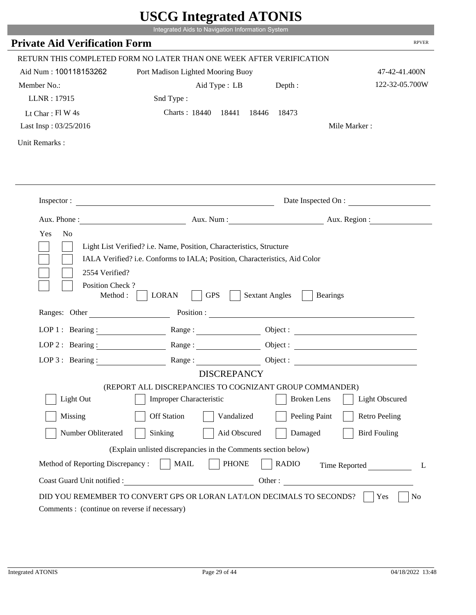|                                             | UDUU IIIIU ARUU ATUNID<br>Integrated Aids to Navigation Information System                                                                         |                                                                                                                                                                                                                                |                          |
|---------------------------------------------|----------------------------------------------------------------------------------------------------------------------------------------------------|--------------------------------------------------------------------------------------------------------------------------------------------------------------------------------------------------------------------------------|--------------------------|
| <b>Private Aid Verification Form</b>        |                                                                                                                                                    |                                                                                                                                                                                                                                | <b>RPVER</b>             |
|                                             |                                                                                                                                                    |                                                                                                                                                                                                                                |                          |
|                                             | RETURN THIS COMPLETED FORM NO LATER THAN ONE WEEK AFTER VERIFICATION                                                                               |                                                                                                                                                                                                                                |                          |
| Aid Num: 100118153262                       | Port Madison Lighted Mooring Buoy                                                                                                                  |                                                                                                                                                                                                                                | 47-42-41.400N            |
| Member No.:                                 | Aid Type : LB Depth :                                                                                                                              |                                                                                                                                                                                                                                | 122-32-05.700W           |
| LLNR: 17915                                 | Snd Type:                                                                                                                                          |                                                                                                                                                                                                                                |                          |
| Lt Char: Fl W 4s                            | Charts: 18440 18441                                                                                                                                | 18446<br>18473                                                                                                                                                                                                                 |                          |
| Last Insp: 03/25/2016                       |                                                                                                                                                    |                                                                                                                                                                                                                                | Mile Marker:             |
| Unit Remarks:                               |                                                                                                                                                    |                                                                                                                                                                                                                                |                          |
|                                             |                                                                                                                                                    |                                                                                                                                                                                                                                |                          |
|                                             | Inspector:                                                                                                                                         |                                                                                                                                                                                                                                | Date Inspected On :      |
| Aux. Phone :                                |                                                                                                                                                    |                                                                                                                                                                                                                                | Aux. Num : Aux. Region : |
| Yes<br>N <sub>o</sub><br>2554 Verified?     | Light List Verified? i.e. Name, Position, Characteristics, Structure<br>IALA Verified? i.e. Conforms to IALA; Position, Characteristics, Aid Color |                                                                                                                                                                                                                                |                          |
| Position Check?<br>Method:<br>Ranges: Other | <b>GPS</b><br><b>LORAN</b>                                                                                                                         | <b>Sextant Angles</b><br><b>Bearings</b>                                                                                                                                                                                       |                          |
|                                             |                                                                                                                                                    | Position : The Contract of the Contract of the Contract of the Contract of the Contract of the Contract of the Contract of the Contract of the Contract of the Contract of the Contract of the Contract of the Contract of the |                          |
| LOP 1 : Bearing :                           |                                                                                                                                                    |                                                                                                                                                                                                                                | Object :                 |
| $LOP$ 2 : Bearing :                         | Range:                                                                                                                                             |                                                                                                                                                                                                                                |                          |
| LOP $3:$ Bearing :                          | Range:                                                                                                                                             |                                                                                                                                                                                                                                |                          |
|                                             | <b>DISCREPANCY</b>                                                                                                                                 |                                                                                                                                                                                                                                |                          |
| Light Out                                   | (REPORT ALL DISCREPANCIES TO COGNIZANT GROUP COMMANDER)<br><b>Improper Characteristic</b>                                                          | <b>Broken</b> Lens                                                                                                                                                                                                             | <b>Light Obscured</b>    |
| Missing                                     | <b>Off Station</b><br>Vandalized                                                                                                                   | Peeling Paint                                                                                                                                                                                                                  | <b>Retro Peeling</b>     |
| Number Obliterated                          | Sinking<br>Aid Obscured                                                                                                                            | Damaged                                                                                                                                                                                                                        | <b>Bird Fouling</b>      |
|                                             | (Explain unlisted discrepancies in the Comments section below)                                                                                     |                                                                                                                                                                                                                                |                          |
| Method of Reporting Discrepancy:            | <b>PHONE</b><br><b>MAIL</b>                                                                                                                        | <b>RADIO</b>                                                                                                                                                                                                                   | Time Reported<br>L       |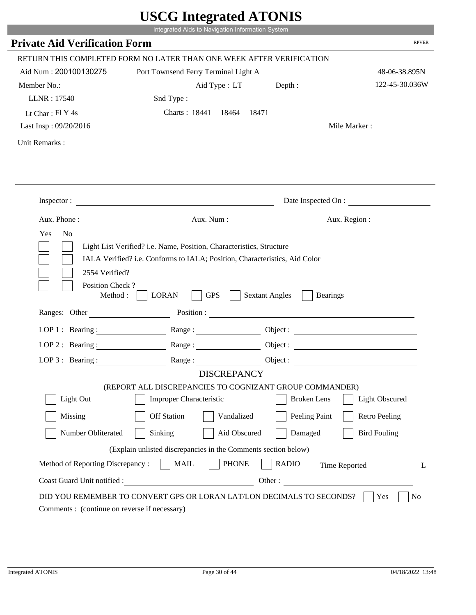|                                              | UDUU IIIIU ARUU ATUNID<br>Integrated Aids to Navigation Information System                                                                                                                                                     |                                          |                                 |
|----------------------------------------------|--------------------------------------------------------------------------------------------------------------------------------------------------------------------------------------------------------------------------------|------------------------------------------|---------------------------------|
| <b>Private Aid Verification Form</b>         |                                                                                                                                                                                                                                |                                          | <b>RPVER</b>                    |
|                                              |                                                                                                                                                                                                                                |                                          |                                 |
| Aid Num: 200100130275                        | RETURN THIS COMPLETED FORM NO LATER THAN ONE WEEK AFTER VERIFICATION                                                                                                                                                           |                                          |                                 |
|                                              | Port Townsend Ferry Terminal Light A                                                                                                                                                                                           |                                          | 48-06-38.895N<br>122-45-30.036W |
| Member No.:<br>LLNR: 17540                   | Aid Type : LT Depth :<br>Snd Type:                                                                                                                                                                                             |                                          |                                 |
| Lt Char: Fl Y 4s                             | Charts: 18441 18464<br>18471                                                                                                                                                                                                   |                                          |                                 |
| Last Insp: 09/20/2016                        |                                                                                                                                                                                                                                |                                          | Mile Marker:                    |
|                                              |                                                                                                                                                                                                                                |                                          |                                 |
| Unit Remarks:                                |                                                                                                                                                                                                                                |                                          |                                 |
|                                              |                                                                                                                                                                                                                                |                                          |                                 |
|                                              | Inspector:                                                                                                                                                                                                                     |                                          | Date Inspected On :             |
| Aux. Phone :                                 |                                                                                                                                                                                                                                | Aux. Num : Aux. Region :                 |                                 |
| Yes<br>N <sub>o</sub>                        | Light List Verified? i.e. Name, Position, Characteristics, Structure<br>IALA Verified? i.e. Conforms to IALA; Position, Characteristics, Aid Color                                                                             |                                          |                                 |
| 2554 Verified?<br>Position Check?<br>Method: | <b>GPS</b><br><b>LORAN</b>                                                                                                                                                                                                     | <b>Sextant Angles</b><br><b>Bearings</b> |                                 |
| Ranges: Other                                | Position : The Contract of the Contract of the Contract of the Contract of the Contract of the Contract of the Contract of the Contract of the Contract of the Contract of the Contract of the Contract of the Contract of the |                                          |                                 |
| LOP 1 : Bearing :                            |                                                                                                                                                                                                                                |                                          |                                 |
| $LOP$ 2 : Bearing :                          | Range :                                                                                                                                                                                                                        |                                          |                                 |
| LOP $3:$ Bearing :                           | Range:                                                                                                                                                                                                                         |                                          |                                 |
|                                              | <b>DISCREPANCY</b>                                                                                                                                                                                                             |                                          |                                 |
|                                              | (REPORT ALL DISCREPANCIES TO COGNIZANT GROUP COMMANDER)                                                                                                                                                                        |                                          |                                 |
| Light Out                                    | <b>Improper Characteristic</b>                                                                                                                                                                                                 | <b>Broken</b> Lens                       | <b>Light Obscured</b>           |
| Missing                                      | <b>Off Station</b><br>Vandalized                                                                                                                                                                                               | Peeling Paint                            | <b>Retro Peeling</b>            |
| Number Obliterated                           | Sinking<br>Aid Obscured                                                                                                                                                                                                        | Damaged                                  | <b>Bird Fouling</b>             |
|                                              | (Explain unlisted discrepancies in the Comments section below)                                                                                                                                                                 |                                          |                                 |
| Method of Reporting Discrepancy:             | <b>PHONE</b><br><b>MAIL</b>                                                                                                                                                                                                    | <b>RADIO</b>                             | Time Reported<br>L              |

p.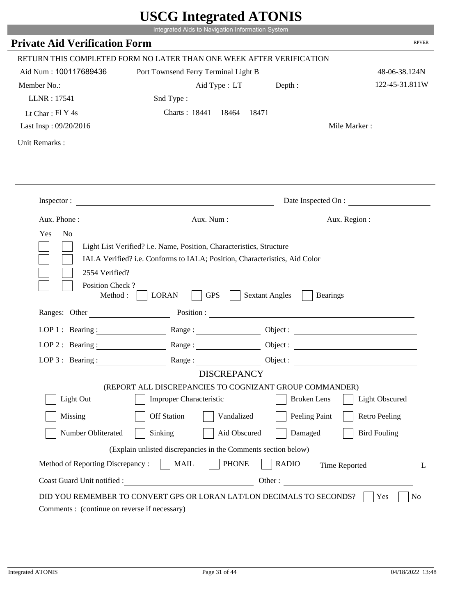|                                         | UDUU IIIItgi altu ATUNID                                                                                                                           |                                          |                              |
|-----------------------------------------|----------------------------------------------------------------------------------------------------------------------------------------------------|------------------------------------------|------------------------------|
|                                         | Integrated Aids to Navigation Information System                                                                                                   |                                          |                              |
| <b>Private Aid Verification Form</b>    |                                                                                                                                                    |                                          | <b>RPVER</b>                 |
|                                         | RETURN THIS COMPLETED FORM NO LATER THAN ONE WEEK AFTER VERIFICATION                                                                               |                                          |                              |
| Aid Num: 100117689436                   | Port Townsend Ferry Terminal Light B                                                                                                               |                                          | 48-06-38.124N                |
| Member No.:                             | Aid Type : LT Depth :                                                                                                                              |                                          | 122-45-31.811W               |
| LLNR: 17541                             | Snd Type:                                                                                                                                          |                                          |                              |
| Lt Char: Fl Y 4s                        | Charts: 18441 18464                                                                                                                                | 18471                                    |                              |
| Last Insp: 09/20/2016                   |                                                                                                                                                    |                                          | Mile Marker:                 |
| Unit Remarks:                           |                                                                                                                                                    |                                          |                              |
|                                         |                                                                                                                                                    |                                          |                              |
|                                         | Inspector:                                                                                                                                         |                                          | Date Inspected On :          |
|                                         |                                                                                                                                                    |                                          | Aux. Num: Aux. Region:       |
| Yes<br>N <sub>o</sub><br>2554 Verified? | Light List Verified? i.e. Name, Position, Characteristics, Structure<br>IALA Verified? i.e. Conforms to IALA; Position, Characteristics, Aid Color |                                          |                              |
| Position Check?<br>Method :             | <b>GPS</b><br><b>LORAN</b>                                                                                                                         | <b>Sextant Angles</b><br><b>Bearings</b> |                              |
|                                         | Ranges: Other Position : Position : 2008                                                                                                           |                                          |                              |
| LOP 1 : Bearing :                       |                                                                                                                                                    |                                          |                              |
| LOP $2:$ Bearing :                      |                                                                                                                                                    |                                          |                              |
| $LOP 3:$ Bearing :                      | Range:                                                                                                                                             |                                          | Object :                     |
|                                         | <b>DISCREPANCY</b>                                                                                                                                 |                                          |                              |
|                                         | (REPORT ALL DISCREPANCIES TO COGNIZANT GROUP COMMANDER)                                                                                            |                                          |                              |
| Light Out                               | <b>Improper Characteristic</b>                                                                                                                     | <b>Broken</b> Lens                       | <b>Light Obscured</b>        |
| Missing                                 | <b>Off Station</b><br>Vandalized                                                                                                                   | Peeling Paint                            | <b>Retro Peeling</b>         |
| Number Obliterated                      | Aid Obscured<br>Sinking                                                                                                                            | Damaged                                  | <b>Bird Fouling</b>          |
|                                         | (Explain unlisted discrepancies in the Comments section below)                                                                                     |                                          |                              |
| Method of Reporting Discrepancy:        | <b>PHONE</b><br><b>MAIL</b>                                                                                                                        | <b>RADIO</b>                             |                              |
| Coast Guard Unit notified :             |                                                                                                                                                    |                                          | Time Reported<br>L<br>Other: |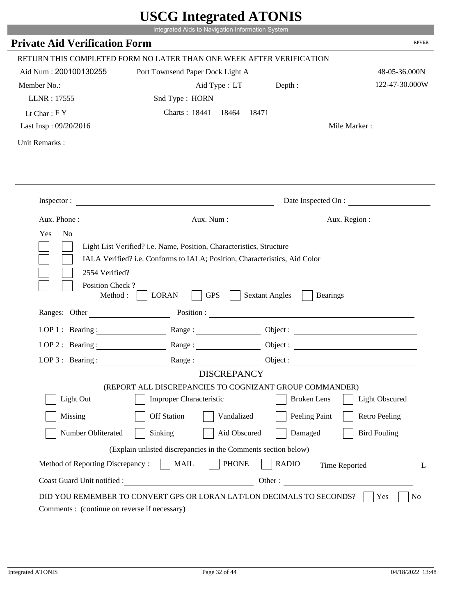|                                      | Integrated Aids to Navigation Information System                      |                                          |                                                 |
|--------------------------------------|-----------------------------------------------------------------------|------------------------------------------|-------------------------------------------------|
|                                      |                                                                       |                                          | <b>RPVER</b>                                    |
| <b>Private Aid Verification Form</b> |                                                                       |                                          |                                                 |
|                                      | RETURN THIS COMPLETED FORM NO LATER THAN ONE WEEK AFTER VERIFICATION  |                                          |                                                 |
| Aid Num: 200100130255                | Port Townsend Paper Dock Light A                                      |                                          | 48-05-36.000N                                   |
| Member No.:                          | Aid Type : LT Depth :                                                 |                                          | 122-47-30.000W                                  |
| LLNR: 17555                          | Snd Type: HORN                                                        |                                          |                                                 |
| Lt Char: $FY$                        | Charts: 18441 18464                                                   | 18471                                    |                                                 |
| Last Insp: 09/20/2016                |                                                                       |                                          | Mile Marker:                                    |
| Unit Remarks:                        |                                                                       |                                          |                                                 |
|                                      |                                                                       |                                          |                                                 |
|                                      |                                                                       |                                          |                                                 |
|                                      | Inspector:                                                            |                                          | Date Inspected On :<br>Aux. Num : Aux. Region : |
|                                      |                                                                       |                                          |                                                 |
| Position Check?                      |                                                                       |                                          |                                                 |
| Method :                             | <b>GPS</b><br><b>LORAN</b>                                            | <b>Sextant Angles</b><br><b>Bearings</b> |                                                 |
|                                      | Ranges: Other Position : Position : 2008                              |                                          |                                                 |
| LOP 1 : Bearing :                    |                                                                       |                                          |                                                 |
| LOP $2:$ Bearing :                   |                                                                       |                                          | Object :                                        |
| $LOP$ 3 : Bearing :                  | Range:                                                                |                                          | Object :                                        |
|                                      | <b>DISCREPANCY</b>                                                    |                                          |                                                 |
|                                      | (REPORT ALL DISCREPANCIES TO COGNIZANT GROUP COMMANDER)               |                                          |                                                 |
| Light Out                            | <b>Improper Characteristic</b>                                        | <b>Broken</b> Lens                       | <b>Light Obscured</b>                           |
| Missing                              | <b>Off Station</b><br>Vandalized                                      | Peeling Paint                            | <b>Retro Peeling</b>                            |
| Number Obliterated                   | Aid Obscured<br>Sinking                                               | Damaged                                  | <b>Bird Fouling</b>                             |
|                                      | (Explain unlisted discrepancies in the Comments section below)        |                                          |                                                 |
| Method of Reporting Discrepancy:     | <b>PHONE</b><br><b>MAIL</b>                                           | <b>RADIO</b>                             |                                                 |
| Coast Guard Unit notified :          |                                                                       | Other:                                   | Time Reported<br>L                              |
|                                      | DID YOU REMEMBER TO CONVERT GPS OR LORAN LAT/LON DECIMALS TO SECONDS? |                                          | No<br>Yes                                       |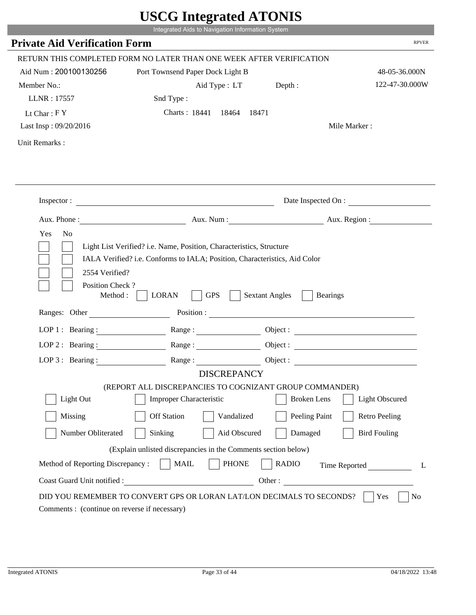|                                              | UDUU IIIIU ARUU ATUNID<br>Integrated Aids to Navigation Information System                                                                                                                                                     |                                          |                          |
|----------------------------------------------|--------------------------------------------------------------------------------------------------------------------------------------------------------------------------------------------------------------------------------|------------------------------------------|--------------------------|
| <b>Private Aid Verification Form</b>         |                                                                                                                                                                                                                                |                                          | <b>RPVER</b>             |
|                                              | RETURN THIS COMPLETED FORM NO LATER THAN ONE WEEK AFTER VERIFICATION                                                                                                                                                           |                                          |                          |
| Aid Num: 200100130256                        | Port Townsend Paper Dock Light B                                                                                                                                                                                               |                                          | 48-05-36.000N            |
| Member No.:                                  | Aid Type : LT Depth :                                                                                                                                                                                                          |                                          | 122-47-30.000W           |
| LLNR: 17557                                  | Snd Type:                                                                                                                                                                                                                      |                                          |                          |
| Lt Char: $FY$                                | Charts: 18441 18464<br>18471                                                                                                                                                                                                   |                                          |                          |
| Last Insp: 09/20/2016                        |                                                                                                                                                                                                                                |                                          | Mile Marker:             |
| Unit Remarks:                                |                                                                                                                                                                                                                                |                                          |                          |
|                                              |                                                                                                                                                                                                                                |                                          |                          |
|                                              |                                                                                                                                                                                                                                |                                          |                          |
|                                              | Inspector:                                                                                                                                                                                                                     |                                          | Date Inspected On :      |
| Aux. Phone :                                 |                                                                                                                                                                                                                                |                                          | Aux. Num : Aux. Region : |
| Yes<br>N <sub>o</sub><br>2554 Verified?      | Light List Verified? i.e. Name, Position, Characteristics, Structure<br>IALA Verified? i.e. Conforms to IALA; Position, Characteristics, Aid Color                                                                             |                                          |                          |
| Position Check?<br>Method :<br>Ranges: Other | <b>GPS</b><br><b>LORAN</b>                                                                                                                                                                                                     | <b>Sextant Angles</b><br><b>Bearings</b> |                          |
|                                              | Position : The Contract of the Contract of the Contract of the Contract of the Contract of the Contract of the Contract of the Contract of the Contract of the Contract of the Contract of the Contract of the Contract of the |                                          |                          |
| LOP 1 : Bearing :                            |                                                                                                                                                                                                                                |                                          |                          |
| $LOP$ 2 : Bearing :                          | Range :                                                                                                                                                                                                                        |                                          |                          |
| LOP $3:$ Bearing :                           | Range:                                                                                                                                                                                                                         |                                          |                          |
|                                              | <b>DISCREPANCY</b><br>(REPORT ALL DISCREPANCIES TO COGNIZANT GROUP COMMANDER)                                                                                                                                                  |                                          |                          |
| Light Out                                    | <b>Improper Characteristic</b>                                                                                                                                                                                                 | <b>Broken</b> Lens                       | <b>Light Obscured</b>    |
| Missing                                      | <b>Off Station</b><br>Vandalized                                                                                                                                                                                               | Peeling Paint                            | <b>Retro Peeling</b>     |
| Number Obliterated                           | Sinking<br>Aid Obscured                                                                                                                                                                                                        | Damaged                                  | <b>Bird Fouling</b>      |
|                                              | (Explain unlisted discrepancies in the Comments section below)                                                                                                                                                                 |                                          |                          |
| Method of Reporting Discrepancy:             | <b>PHONE</b><br><b>MAIL</b>                                                                                                                                                                                                    | <b>RADIO</b>                             | Time Reported<br>L       |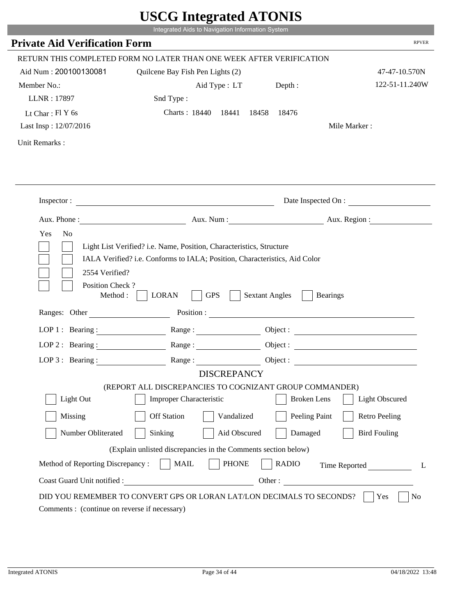|                                                                                                            | UDUU IIIItgi altu ATUNID<br>Integrated Aids to Navigation Information System                                                                       |                       |                        |
|------------------------------------------------------------------------------------------------------------|----------------------------------------------------------------------------------------------------------------------------------------------------|-----------------------|------------------------|
| <b>Private Aid Verification Form</b>                                                                       |                                                                                                                                                    |                       | <b>RPVER</b>           |
|                                                                                                            | RETURN THIS COMPLETED FORM NO LATER THAN ONE WEEK AFTER VERIFICATION                                                                               |                       |                        |
| Aid Num: 200100130081                                                                                      | Quilcene Bay Fish Pen Lights (2)                                                                                                                   |                       | 47-47-10.570N          |
| Member No.:                                                                                                | Aid Type : LT Depth :                                                                                                                              |                       | 122-51-11.240W         |
| LLNR: 17897                                                                                                | Snd Type:                                                                                                                                          |                       |                        |
| Lt Char: $FIY$ 6s                                                                                          | Charts: 18440 18441                                                                                                                                | 18458 18476           |                        |
| Last Insp: 12/07/2016                                                                                      |                                                                                                                                                    |                       | Mile Marker:           |
| Unit Remarks:                                                                                              |                                                                                                                                                    |                       |                        |
|                                                                                                            |                                                                                                                                                    |                       |                        |
|                                                                                                            | Inspector:                                                                                                                                         |                       | Date Inspected On :    |
|                                                                                                            |                                                                                                                                                    |                       | Aux. Num: Aux. Region: |
| Yes<br>N <sub>0</sub><br>2554 Verified?                                                                    | Light List Verified? i.e. Name, Position, Characteristics, Structure<br>IALA Verified? i.e. Conforms to IALA; Position, Characteristics, Aid Color |                       |                        |
| Position Check?<br>Method :                                                                                | <b>GPS</b><br><b>LORAN</b><br>Ranges: Other Position : Position :                                                                                  | <b>Sextant Angles</b> | <b>Bearings</b>        |
| LOP 1 : Bearing : $\frac{1}{\sqrt{1-\frac{1}{2}} \cdot \frac{1}{\sqrt{1-\frac{1}{2}} \cdot \frac{1}{2}}}}$ |                                                                                                                                                    |                       | Object :               |
| $LOP$ 2 : Bearing :                                                                                        | Range :                                                                                                                                            |                       |                        |
| LOP $3$ : Bearing :                                                                                        |                                                                                                                                                    | Object :              |                        |
|                                                                                                            | <b>DISCREPANCY</b>                                                                                                                                 |                       |                        |
|                                                                                                            | (REPORT ALL DISCREPANCIES TO COGNIZANT GROUP COMMANDER)                                                                                            |                       |                        |
| Light Out                                                                                                  | <b>Improper Characteristic</b>                                                                                                                     | <b>Broken</b> Lens    | <b>Light Obscured</b>  |
| Missing                                                                                                    | <b>Off Station</b><br>Vandalized                                                                                                                   | Peeling Paint         | <b>Retro Peeling</b>   |
| Number Obliterated                                                                                         | Sinking<br>Aid Obscured                                                                                                                            | Damaged               | <b>Bird Fouling</b>    |
|                                                                                                            | (Explain unlisted discrepancies in the Comments section below)                                                                                     |                       |                        |
| Method of Reporting Discrepancy:                                                                           | <b>PHONE</b><br><b>MAIL</b>                                                                                                                        | <b>RADIO</b>          | Time Reported<br>L     |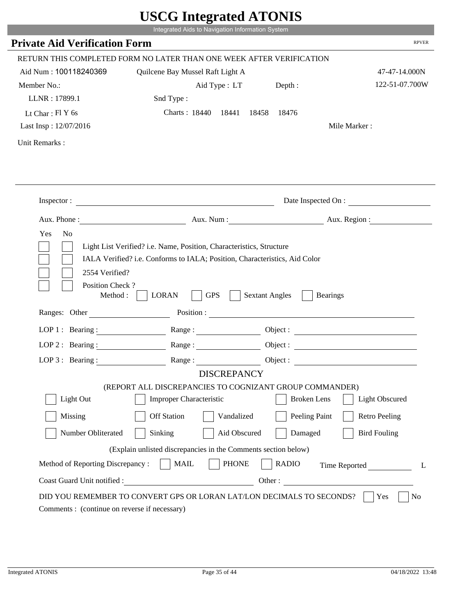|                                         | UDUU IIIIU ARUU ATUNID                                                                                                                             |                       |                          |
|-----------------------------------------|----------------------------------------------------------------------------------------------------------------------------------------------------|-----------------------|--------------------------|
|                                         | Integrated Aids to Navigation Information System                                                                                                   |                       |                          |
| <b>Private Aid Verification Form</b>    |                                                                                                                                                    |                       | <b>RPVER</b>             |
|                                         | RETURN THIS COMPLETED FORM NO LATER THAN ONE WEEK AFTER VERIFICATION                                                                               |                       |                          |
| Aid Num: 100118240369                   | Quilcene Bay Mussel Raft Light A                                                                                                                   |                       | 47-47-14.000N            |
| Member No.:                             | Aid Type : LT                                                                                                                                      | Depth:                | 122-51-07.700W           |
| LLNR: 17899.1                           | Snd Type:                                                                                                                                          |                       |                          |
| Lt Char: $FIY$ 6s                       | Charts: 18440 18441                                                                                                                                | 18458<br>18476        |                          |
| Last Insp: 12/07/2016                   |                                                                                                                                                    |                       | Mile Marker:             |
| Unit Remarks:                           |                                                                                                                                                    |                       |                          |
|                                         |                                                                                                                                                    |                       |                          |
|                                         | Inspector:                                                                                                                                         |                       | Date Inspected On :      |
|                                         |                                                                                                                                                    |                       | Aux. Num : Aux. Region : |
| Yes<br>N <sub>o</sub><br>2554 Verified? | Light List Verified? i.e. Name, Position, Characteristics, Structure<br>IALA Verified? i.e. Conforms to IALA; Position, Characteristics, Aid Color |                       |                          |
| Position Check?<br>Method :             | <b>GPS</b><br><b>LORAN</b>                                                                                                                         | <b>Sextant Angles</b> | <b>Bearings</b>          |
| Ranges: Other                           |                                                                                                                                                    |                       | Position :               |
| LOP 1 : Bearing :                       |                                                                                                                                                    |                       | Object :                 |
| LOP $2:$ Bearing :                      | Range:                                                                                                                                             |                       |                          |
| $LOP$ 3 : Bearing :                     | Range:                                                                                                                                             |                       | Object :                 |
|                                         | <b>DISCREPANCY</b>                                                                                                                                 |                       |                          |
|                                         | (REPORT ALL DISCREPANCIES TO COGNIZANT GROUP COMMANDER)                                                                                            |                       |                          |
| Light Out                               | <b>Improper Characteristic</b>                                                                                                                     | <b>Broken</b> Lens    | <b>Light Obscured</b>    |
| Missing                                 | <b>Off Station</b><br>Vandalized                                                                                                                   | Peeling Paint         | <b>Retro Peeling</b>     |
| Number Obliterated                      | Aid Obscured<br>Sinking                                                                                                                            | Damaged               | <b>Bird Fouling</b>      |
|                                         | (Explain unlisted discrepancies in the Comments section below)                                                                                     |                       |                          |
| Method of Reporting Discrepancy:        | <b>PHONE</b><br><b>MAIL</b>                                                                                                                        | <b>RADIO</b>          | Time Reported<br>L       |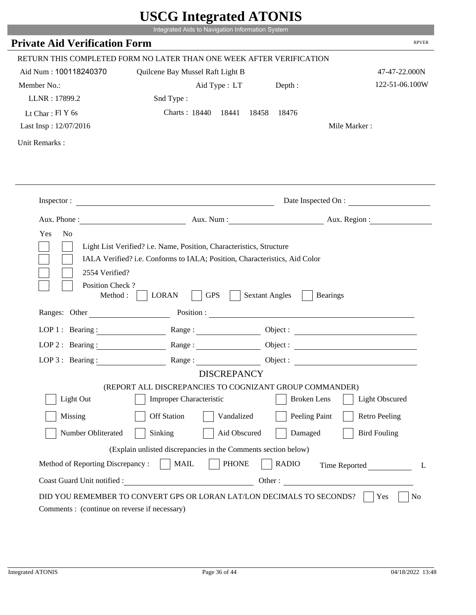|                                             | Integrated Aids to Navigation Information System                                                                 | UDUU IIIIU ARUU ATUNID                                 |                       |
|---------------------------------------------|------------------------------------------------------------------------------------------------------------------|--------------------------------------------------------|-----------------------|
| <b>Private Aid Verification Form</b>        |                                                                                                                  |                                                        | <b>RPVER</b>          |
|                                             |                                                                                                                  |                                                        |                       |
|                                             | RETURN THIS COMPLETED FORM NO LATER THAN ONE WEEK AFTER VERIFICATION                                             |                                                        |                       |
| Aid Num: 100118240370                       | Quilcene Bay Mussel Raft Light B                                                                                 |                                                        | 47-47-22.000N         |
| Member No.:                                 | Aid Type : LT                                                                                                    | Depth:                                                 | 122-51-06.100W        |
| LLNR: 17899.2                               | Snd Type:                                                                                                        |                                                        |                       |
| Lt Char: $FIY$ 6s                           | Charts: 18440 18441                                                                                              | 18458<br>18476                                         |                       |
| Last Insp: 12/07/2016                       |                                                                                                                  |                                                        | Mile Marker:          |
| Unit Remarks:                               |                                                                                                                  |                                                        |                       |
|                                             |                                                                                                                  |                                                        |                       |
|                                             | Inspector:                                                                                                       |                                                        | Date Inspected On :   |
| Aux. Phone :                                |                                                                                                                  | Aux. Num : Aux. Region :                               |                       |
| Position Check?<br>Method:<br>Ranges: Other | <b>GPS</b><br><b>LORAN</b>                                                                                       | <b>Sextant Angles</b><br><b>Bearings</b><br>Position : |                       |
|                                             |                                                                                                                  |                                                        |                       |
| LOP 1 : Bearing :                           |                                                                                                                  |                                                        |                       |
|                                             |                                                                                                                  |                                                        | Object :              |
| $LOP$ 2 : Bearing :                         | Range:                                                                                                           |                                                        |                       |
| LOP $3$ : Bearing :                         | Range:                                                                                                           |                                                        |                       |
|                                             | <b>DISCREPANCY</b>                                                                                               |                                                        |                       |
|                                             | (REPORT ALL DISCREPANCIES TO COGNIZANT GROUP COMMANDER)                                                          |                                                        |                       |
| Light Out                                   | <b>Improper Characteristic</b>                                                                                   | <b>Broken</b> Lens                                     | <b>Light Obscured</b> |
| Missing                                     | <b>Off Station</b><br>Vandalized                                                                                 | Peeling Paint                                          | <b>Retro Peeling</b>  |
| Number Obliterated                          | Sinking<br>Aid Obscured                                                                                          | Damaged                                                | <b>Bird Fouling</b>   |
|                                             | (Explain unlisted discrepancies in the Comments section below)                                                   |                                                        |                       |
| Method of Reporting Discrepancy:            | <b>PHONE</b><br><b>MAIL</b>                                                                                      | <b>RADIO</b>                                           |                       |
|                                             |                                                                                                                  |                                                        | Time Reported<br>L    |
| Coast Guard Unit notified :                 | <u> 1990 - Johann Barbara, martin d</u><br>DID YOU REMEMBER TO CONVERT GPS OR LORAN LAT/LON DECIMALS TO SECONDS? | Other:                                                 | Yes<br>No             |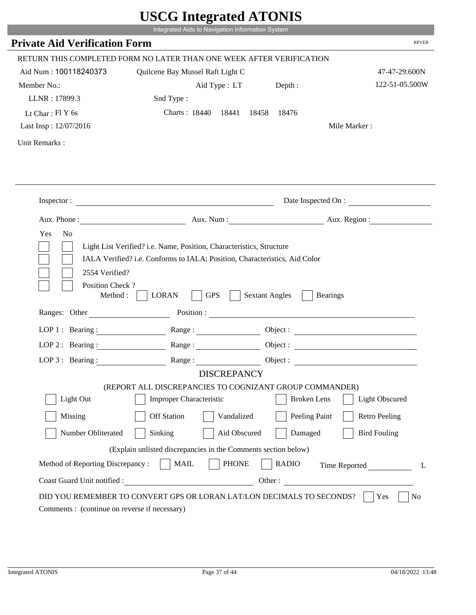|                                         | UDUU IIIIU ARUU ATUNID<br>Integrated Aids to Navigation Information System                                                                                                                                                     |                       |                          |
|-----------------------------------------|--------------------------------------------------------------------------------------------------------------------------------------------------------------------------------------------------------------------------------|-----------------------|--------------------------|
| <b>Private Aid Verification Form</b>    |                                                                                                                                                                                                                                |                       | <b>RPVER</b>             |
|                                         |                                                                                                                                                                                                                                |                       |                          |
|                                         | RETURN THIS COMPLETED FORM NO LATER THAN ONE WEEK AFTER VERIFICATION                                                                                                                                                           |                       |                          |
| Aid Num: 100118240373                   | Quilcene Bay Mussel Raft Light C                                                                                                                                                                                               |                       | 47-47-29.600N            |
| Member No.:                             | Aid Type : LT                                                                                                                                                                                                                  | Depth:                | 122-51-05.500W           |
| LLNR: 17899.3                           | Snd Type:                                                                                                                                                                                                                      |                       |                          |
| Lt Char: $FIY$ 6s                       | Charts: 18440 18441                                                                                                                                                                                                            | 18458<br>18476        |                          |
| Last Insp: 12/07/2016                   |                                                                                                                                                                                                                                |                       | Mile Marker:             |
| Unit Remarks:                           |                                                                                                                                                                                                                                |                       |                          |
|                                         |                                                                                                                                                                                                                                |                       |                          |
|                                         | Inspector:                                                                                                                                                                                                                     |                       | Date Inspected On :      |
| Aux. Phone :                            |                                                                                                                                                                                                                                |                       | Aux. Num : Aux. Region : |
| Yes<br>N <sub>o</sub><br>2554 Verified? | Light List Verified? i.e. Name, Position, Characteristics, Structure<br>IALA Verified? i.e. Conforms to IALA; Position, Characteristics, Aid Color                                                                             |                       |                          |
| Position Check?<br>Method:              | <b>GPS</b><br><b>LORAN</b>                                                                                                                                                                                                     | <b>Sextant Angles</b> | <b>Bearings</b>          |
| Ranges: Other                           | Position : The Contract of the Contract of the Contract of the Contract of the Contract of the Contract of the Contract of the Contract of the Contract of the Contract of the Contract of the Contract of the Contract of the |                       |                          |
| LOP 1 : Bearing :                       |                                                                                                                                                                                                                                |                       | Object :                 |
| $LOP$ 2 : Bearing :                     | Range:                                                                                                                                                                                                                         |                       |                          |
| LOP $3$ : Bearing :                     | Range:                                                                                                                                                                                                                         |                       |                          |
|                                         | <b>DISCREPANCY</b>                                                                                                                                                                                                             |                       |                          |
|                                         | (REPORT ALL DISCREPANCIES TO COGNIZANT GROUP COMMANDER)                                                                                                                                                                        |                       |                          |
| Light Out                               | <b>Improper Characteristic</b>                                                                                                                                                                                                 | <b>Broken</b> Lens    | <b>Light Obscured</b>    |
| Missing                                 | <b>Off Station</b><br>Vandalized                                                                                                                                                                                               | Peeling Paint         | <b>Retro Peeling</b>     |
| Number Obliterated                      | Sinking<br>Aid Obscured                                                                                                                                                                                                        | Damaged               | <b>Bird Fouling</b>      |
|                                         | (Explain unlisted discrepancies in the Comments section below)                                                                                                                                                                 |                       |                          |
| Method of Reporting Discrepancy:        | <b>PHONE</b><br><b>MAIL</b>                                                                                                                                                                                                    | <b>RADIO</b>          | Time Reported<br>L       |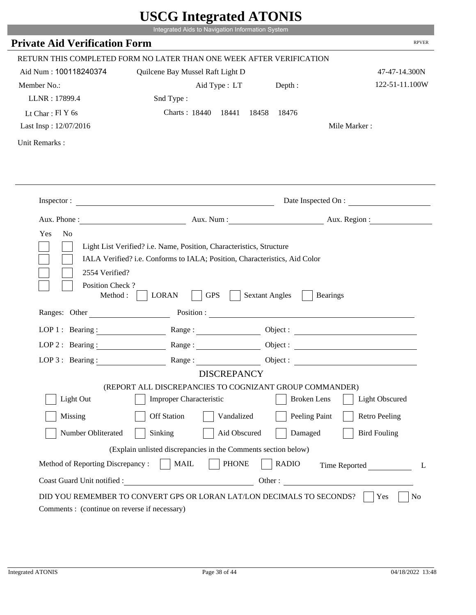|                                         | UDUU IIIIU ARUU ATUNID                                                                                                                             |                       |                        |
|-----------------------------------------|----------------------------------------------------------------------------------------------------------------------------------------------------|-----------------------|------------------------|
|                                         | Integrated Aids to Navigation Information System                                                                                                   |                       |                        |
| <b>Private Aid Verification Form</b>    |                                                                                                                                                    |                       | <b>RPVER</b>           |
|                                         | RETURN THIS COMPLETED FORM NO LATER THAN ONE WEEK AFTER VERIFICATION                                                                               |                       |                        |
| Aid Num: 100118240374                   | Quilcene Bay Mussel Raft Light D                                                                                                                   |                       | 47-47-14.300N          |
| Member No.:                             | Aid Type : LT                                                                                                                                      | Depth:                | 122-51-11.100W         |
| LLNR: 17899.4                           | Snd Type:                                                                                                                                          |                       |                        |
| Lt Char: $FIY$ 6s                       | Charts: 18440 18441                                                                                                                                | 18458<br>18476        |                        |
| Last Insp: 12/07/2016                   |                                                                                                                                                    |                       | Mile Marker:           |
| Unit Remarks:                           |                                                                                                                                                    |                       |                        |
|                                         |                                                                                                                                                    |                       |                        |
|                                         | Inspector:                                                                                                                                         |                       | Date Inspected On :    |
|                                         |                                                                                                                                                    |                       | Aux. Num: Aux. Region: |
| Yes<br>N <sub>o</sub><br>2554 Verified? | Light List Verified? i.e. Name, Position, Characteristics, Structure<br>IALA Verified? i.e. Conforms to IALA; Position, Characteristics, Aid Color |                       |                        |
| Position Check?<br>Method :             | <b>GPS</b><br><b>LORAN</b>                                                                                                                         | <b>Sextant Angles</b> | <b>Bearings</b>        |
| Ranges: Other                           |                                                                                                                                                    |                       | Position :             |
| LOP 1 : Bearing :                       |                                                                                                                                                    |                       |                        |
| LOP $2:$ Bearing :                      |                                                                                                                                                    |                       | Object :               |
| $LOP$ 3 : Bearing :                     | Range:                                                                                                                                             |                       | Object :               |
|                                         | <b>DISCREPANCY</b>                                                                                                                                 |                       |                        |
|                                         | (REPORT ALL DISCREPANCIES TO COGNIZANT GROUP COMMANDER)                                                                                            |                       |                        |
| Light Out                               | <b>Improper Characteristic</b>                                                                                                                     | <b>Broken</b> Lens    | <b>Light Obscured</b>  |
| Missing                                 | <b>Off Station</b><br>Vandalized                                                                                                                   | Peeling Paint         | <b>Retro Peeling</b>   |
| Number Obliterated                      | Aid Obscured<br>Sinking                                                                                                                            | Damaged               | <b>Bird Fouling</b>    |
|                                         | (Explain unlisted discrepancies in the Comments section below)                                                                                     |                       |                        |
| Method of Reporting Discrepancy:        | <b>PHONE</b><br><b>MAIL</b>                                                                                                                        | <b>RADIO</b>          | Time Reported<br>L     |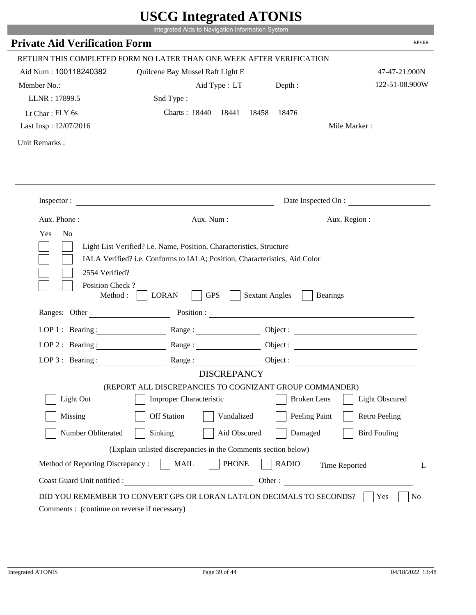|                                                         | UDUU IIIIU ARUU ATUNID<br>Integrated Aids to Navigation Information System                                                                                                                                                     |                       |                                 |
|---------------------------------------------------------|--------------------------------------------------------------------------------------------------------------------------------------------------------------------------------------------------------------------------------|-----------------------|---------------------------------|
| <b>Private Aid Verification Form</b>                    |                                                                                                                                                                                                                                |                       | <b>RPVER</b>                    |
|                                                         |                                                                                                                                                                                                                                |                       |                                 |
|                                                         | RETURN THIS COMPLETED FORM NO LATER THAN ONE WEEK AFTER VERIFICATION                                                                                                                                                           |                       |                                 |
| Aid Num: 100118240382                                   | Quilcene Bay Mussel Raft Light E                                                                                                                                                                                               |                       | 47-47-21.900N<br>122-51-08.900W |
| Member No.:                                             | Aid Type : LT                                                                                                                                                                                                                  | Depth:                |                                 |
| LLNR: 17899.5                                           | Snd Type:                                                                                                                                                                                                                      |                       |                                 |
| Lt Char: $FIY$ 6s<br>Last Insp: 12/07/2016              | Charts: 18440 18441                                                                                                                                                                                                            | 18458<br>18476        | Mile Marker:                    |
|                                                         |                                                                                                                                                                                                                                |                       |                                 |
| Unit Remarks:                                           |                                                                                                                                                                                                                                |                       |                                 |
|                                                         |                                                                                                                                                                                                                                |                       |                                 |
|                                                         |                                                                                                                                                                                                                                |                       |                                 |
|                                                         | Inspector:                                                                                                                                                                                                                     |                       | Date Inspected On :             |
|                                                         |                                                                                                                                                                                                                                |                       | Aux. Num : Aux. Region :        |
| Aux. Phone :<br>Yes<br>N <sub>o</sub><br>2554 Verified? | Light List Verified? i.e. Name, Position, Characteristics, Structure<br>IALA Verified? i.e. Conforms to IALA; Position, Characteristics, Aid Color                                                                             |                       |                                 |
| Position Check?<br>Method:<br>Ranges: Other             | <b>GPS</b><br><b>LORAN</b>                                                                                                                                                                                                     | <b>Sextant Angles</b> | <b>Bearings</b>                 |
|                                                         | Position : The Contract of the Contract of the Contract of the Contract of the Contract of the Contract of the Contract of the Contract of the Contract of the Contract of the Contract of the Contract of the Contract of the |                       |                                 |
| LOP 1 : Bearing :                                       |                                                                                                                                                                                                                                |                       | Object :                        |
| $LOP$ 2 : Bearing :                                     | Range:                                                                                                                                                                                                                         |                       |                                 |
| LOP $3$ : Bearing :                                     | Range:                                                                                                                                                                                                                         |                       |                                 |
|                                                         | <b>DISCREPANCY</b>                                                                                                                                                                                                             |                       |                                 |
| Light Out                                               | (REPORT ALL DISCREPANCIES TO COGNIZANT GROUP COMMANDER)<br><b>Improper Characteristic</b>                                                                                                                                      | <b>Broken</b> Lens    | <b>Light Obscured</b>           |
|                                                         |                                                                                                                                                                                                                                |                       |                                 |
| Missing                                                 | <b>Off Station</b><br>Vandalized                                                                                                                                                                                               | Peeling Paint         | <b>Retro Peeling</b>            |
| Number Obliterated                                      | Sinking<br>Aid Obscured                                                                                                                                                                                                        | Damaged               | <b>Bird Fouling</b>             |
|                                                         | (Explain unlisted discrepancies in the Comments section below)                                                                                                                                                                 |                       |                                 |
| Method of Reporting Discrepancy:                        | <b>PHONE</b><br><b>MAIL</b>                                                                                                                                                                                                    | <b>RADIO</b>          | Time Reported<br>L              |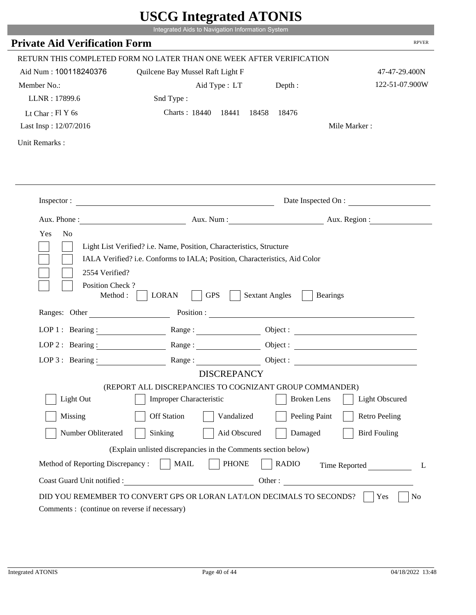|                                      | UDUU IIIItgi altu ATUNID                                                                                                                           |                       |                        |
|--------------------------------------|----------------------------------------------------------------------------------------------------------------------------------------------------|-----------------------|------------------------|
|                                      | Integrated Aids to Navigation Information System                                                                                                   |                       |                        |
| <b>Private Aid Verification Form</b> |                                                                                                                                                    |                       | <b>RPVER</b>           |
|                                      | RETURN THIS COMPLETED FORM NO LATER THAN ONE WEEK AFTER VERIFICATION                                                                               |                       |                        |
| Aid Num: 100118240376                | Quilcene Bay Mussel Raft Light F                                                                                                                   |                       | 47-47-29.400N          |
| Member No.:                          | Aid Type : LT                                                                                                                                      | Depth:                | 122-51-07.900W         |
| LLNR: 17899.6                        | Snd Type:                                                                                                                                          |                       |                        |
| Lt Char: $FIY$ 6s                    | Charts: 18440 18441                                                                                                                                | 18458<br>18476        |                        |
| Last Insp: 12/07/2016                |                                                                                                                                                    |                       | Mile Marker:           |
| Unit Remarks:                        |                                                                                                                                                    |                       |                        |
|                                      |                                                                                                                                                    |                       |                        |
|                                      | Inspector: $\qquad \qquad$                                                                                                                         |                       | Date Inspected On :    |
|                                      |                                                                                                                                                    |                       | Aux. Num: Aux. Region: |
| 2554 Verified?                       | Light List Verified? i.e. Name, Position, Characteristics, Structure<br>IALA Verified? i.e. Conforms to IALA; Position, Characteristics, Aid Color |                       |                        |
| Position Check?<br>Method :          | <b>GPS</b><br><b>LORAN</b>                                                                                                                         | <b>Sextant Angles</b> | <b>Bearings</b>        |
| Ranges: Other                        |                                                                                                                                                    |                       | Position :             |
| LOP 1 : Bearing :                    |                                                                                                                                                    |                       | Object :               |
| LOP $2:$ Bearing :                   | Range:                                                                                                                                             |                       |                        |
| $LOP$ 3 : Bearing :                  | Range:                                                                                                                                             |                       | Object :               |
|                                      | <b>DISCREPANCY</b>                                                                                                                                 |                       |                        |
|                                      | (REPORT ALL DISCREPANCIES TO COGNIZANT GROUP COMMANDER)                                                                                            |                       |                        |
| Light Out                            | <b>Improper Characteristic</b>                                                                                                                     | <b>Broken</b> Lens    | <b>Light Obscured</b>  |
| Missing                              | <b>Off Station</b><br>Vandalized                                                                                                                   | Peeling Paint         | <b>Retro Peeling</b>   |
| Number Obliterated                   | Aid Obscured<br>Sinking                                                                                                                            | Damaged               | <b>Bird Fouling</b>    |
|                                      | (Explain unlisted discrepancies in the Comments section below)                                                                                     |                       |                        |
| Method of Reporting Discrepancy:     | <b>PHONE</b><br><b>MAIL</b>                                                                                                                        | <b>RADIO</b>          | Time Reported<br>L     |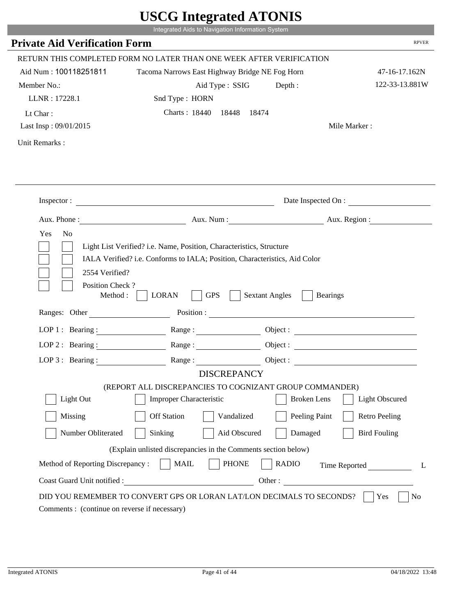|                                              | Integrated Aids to Navigation Information System                                                                                                                                                                                                                                                                                                                 |                                          |                       |
|----------------------------------------------|------------------------------------------------------------------------------------------------------------------------------------------------------------------------------------------------------------------------------------------------------------------------------------------------------------------------------------------------------------------|------------------------------------------|-----------------------|
| <b>Private Aid Verification Form</b>         |                                                                                                                                                                                                                                                                                                                                                                  |                                          | <b>RPVER</b>          |
|                                              | RETURN THIS COMPLETED FORM NO LATER THAN ONE WEEK AFTER VERIFICATION                                                                                                                                                                                                                                                                                             |                                          |                       |
| Aid Num: 100118251811                        | Tacoma Narrows East Highway Bridge NE Fog Horn                                                                                                                                                                                                                                                                                                                   |                                          | 47-16-17.162N         |
| Member No.:                                  | Aid Type : SSIG                                                                                                                                                                                                                                                                                                                                                  | Depth:                                   | 122-33-13.881W        |
| LLNR: 17228.1                                | Snd Type: HORN                                                                                                                                                                                                                                                                                                                                                   |                                          |                       |
| Lt Char:                                     | Charts: 18440 18448 18474                                                                                                                                                                                                                                                                                                                                        |                                          |                       |
| Last Insp: 09/01/2015                        |                                                                                                                                                                                                                                                                                                                                                                  |                                          | Mile Marker:          |
| Unit Remarks:                                |                                                                                                                                                                                                                                                                                                                                                                  |                                          |                       |
|                                              |                                                                                                                                                                                                                                                                                                                                                                  |                                          |                       |
|                                              |                                                                                                                                                                                                                                                                                                                                                                  |                                          |                       |
|                                              | Inspector:                                                                                                                                                                                                                                                                                                                                                       |                                          | Date Inspected On :   |
|                                              | Aux. Phone: Aux. Aux. Num : Aux. Aux. Region :                                                                                                                                                                                                                                                                                                                   |                                          |                       |
| 2554 Verified?                               | Light List Verified? i.e. Name, Position, Characteristics, Structure<br>IALA Verified? i.e. Conforms to IALA; Position, Characteristics, Aid Color                                                                                                                                                                                                               |                                          |                       |
| Position Check?<br>Method :<br>Ranges: Other | <b>GPS</b><br><b>LORAN</b>                                                                                                                                                                                                                                                                                                                                       | <b>Sextant Angles</b><br><b>Bearings</b> |                       |
|                                              |                                                                                                                                                                                                                                                                                                                                                                  |                                          |                       |
|                                              | LOP 1 : Bearing : Range :                                                                                                                                                                                                                                                                                                                                        |                                          | Object:               |
| LOP $2:$ Bearing :                           | $Range: \begin{tabular}{ c c } \hline \rule{0.3cm}{.04cm} \rule{0.3cm}{.04cm} \rule{0.3cm}{.04cm} \rule{0.3cm}{.04cm} \rule{0.3cm}{.04cm} \rule{0.3cm}{.04cm} \rule{0.3cm}{.04cm} \rule{0.3cm}{.04cm} \rule{0.3cm}{.04cm} \rule{0.3cm}{.04cm} \rule{0.3cm}{.04cm} \rule{0.3cm}{.04cm} \rule{0.3cm}{.04cm} \rule{0.3cm}{.04cm} \rule{0.3cm}{.04cm} \rule{0.3cm}{$ |                                          |                       |
|                                              | LOP 3: Bearing: Range: Range: Object:                                                                                                                                                                                                                                                                                                                            |                                          |                       |
|                                              | <b>DISCREPANCY</b><br>(REPORT ALL DISCREPANCIES TO COGNIZANT GROUP COMMANDER)                                                                                                                                                                                                                                                                                    |                                          |                       |
| Light Out                                    | Improper Characteristic                                                                                                                                                                                                                                                                                                                                          | <b>Broken</b> Lens                       | <b>Light Obscured</b> |
| Missing                                      | <b>Off Station</b><br>Vandalized                                                                                                                                                                                                                                                                                                                                 | Peeling Paint                            | <b>Retro Peeling</b>  |
| Number Obliterated                           | Sinking<br>Aid Obscured                                                                                                                                                                                                                                                                                                                                          | Damaged                                  | <b>Bird Fouling</b>   |
|                                              | (Explain unlisted discrepancies in the Comments section below)                                                                                                                                                                                                                                                                                                   |                                          |                       |
| Method of Reporting Discrepancy:             | <b>PHONE</b><br><b>MAIL</b>                                                                                                                                                                                                                                                                                                                                      | <b>RADIO</b>                             |                       |
| Coast Guard Unit notified :                  |                                                                                                                                                                                                                                                                                                                                                                  | Other:                                   | Time Reported<br>L    |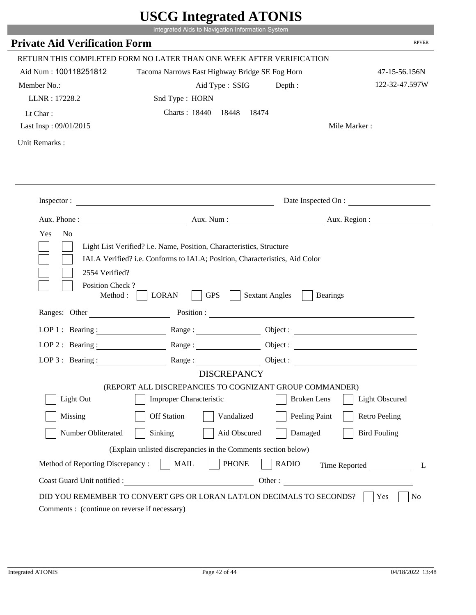|                                                            | Integrated Aids to Navigation Information System                                                                                                                                                                                                                                                                                                                 |                       |                       |
|------------------------------------------------------------|------------------------------------------------------------------------------------------------------------------------------------------------------------------------------------------------------------------------------------------------------------------------------------------------------------------------------------------------------------------|-----------------------|-----------------------|
| <b>Private Aid Verification Form</b>                       |                                                                                                                                                                                                                                                                                                                                                                  |                       | <b>RPVER</b>          |
|                                                            | RETURN THIS COMPLETED FORM NO LATER THAN ONE WEEK AFTER VERIFICATION                                                                                                                                                                                                                                                                                             |                       |                       |
| Aid Num: 100118251812                                      | Tacoma Narrows East Highway Bridge SE Fog Horn                                                                                                                                                                                                                                                                                                                   |                       | 47-15-56.156N         |
| Member No.:                                                | Aid Type : SSIG                                                                                                                                                                                                                                                                                                                                                  | Depth:                | 122-32-47.597W        |
| LLNR: 17228.2                                              | Snd Type: HORN                                                                                                                                                                                                                                                                                                                                                   |                       |                       |
| Lt Char:                                                   | Charts: 18440 18448 18474                                                                                                                                                                                                                                                                                                                                        |                       |                       |
| Last Insp: 09/01/2015                                      |                                                                                                                                                                                                                                                                                                                                                                  |                       | Mile Marker:          |
| Unit Remarks:                                              |                                                                                                                                                                                                                                                                                                                                                                  |                       |                       |
|                                                            |                                                                                                                                                                                                                                                                                                                                                                  |                       |                       |
|                                                            | Inspector:                                                                                                                                                                                                                                                                                                                                                       |                       | Date Inspected On :   |
|                                                            | Aux. Phone: Aux. Aux. Num : Aux. Aux. Region :                                                                                                                                                                                                                                                                                                                   |                       |                       |
| Yes<br>N <sub>o</sub><br>2554 Verified?<br>Position Check? | Light List Verified? i.e. Name, Position, Characteristics, Structure<br>IALA Verified? i.e. Conforms to IALA; Position, Characteristics, Aid Color                                                                                                                                                                                                               |                       |                       |
| Method :<br>Ranges: Other                                  | <b>GPS</b><br><b>LORAN</b>                                                                                                                                                                                                                                                                                                                                       | <b>Sextant Angles</b> | <b>Bearings</b>       |
|                                                            |                                                                                                                                                                                                                                                                                                                                                                  |                       |                       |
|                                                            | LOP 1 : Bearing : Range :                                                                                                                                                                                                                                                                                                                                        |                       | Object:               |
| LOP $2:$ Bearing :                                         | $Range: \begin{tabular}{ c c } \hline \rule{0.3cm}{.04cm} \rule{0.3cm}{.04cm} \rule{0.3cm}{.04cm} \rule{0.3cm}{.04cm} \rule{0.3cm}{.04cm} \rule{0.3cm}{.04cm} \rule{0.3cm}{.04cm} \rule{0.3cm}{.04cm} \rule{0.3cm}{.04cm} \rule{0.3cm}{.04cm} \rule{0.3cm}{.04cm} \rule{0.3cm}{.04cm} \rule{0.3cm}{.04cm} \rule{0.3cm}{.04cm} \rule{0.3cm}{.04cm} \rule{0.3cm}{$ |                       |                       |
|                                                            | LOP 3: Bearing: Range: Range: Object:                                                                                                                                                                                                                                                                                                                            |                       |                       |
|                                                            | <b>DISCREPANCY</b><br>(REPORT ALL DISCREPANCIES TO COGNIZANT GROUP COMMANDER)                                                                                                                                                                                                                                                                                    |                       |                       |
| Light Out                                                  | Improper Characteristic                                                                                                                                                                                                                                                                                                                                          | <b>Broken</b> Lens    | <b>Light Obscured</b> |
| Missing                                                    | <b>Off Station</b><br>Vandalized                                                                                                                                                                                                                                                                                                                                 | Peeling Paint         | <b>Retro Peeling</b>  |
| Number Obliterated                                         | Sinking<br>Aid Obscured                                                                                                                                                                                                                                                                                                                                          | Damaged               | <b>Bird Fouling</b>   |
|                                                            | (Explain unlisted discrepancies in the Comments section below)                                                                                                                                                                                                                                                                                                   |                       |                       |
| Method of Reporting Discrepancy:                           | <b>PHONE</b><br><b>MAIL</b>                                                                                                                                                                                                                                                                                                                                      | <b>RADIO</b>          | Time Reported<br>L    |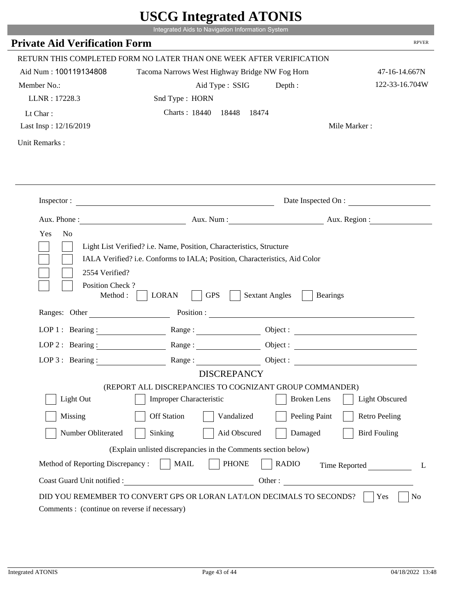|                                         | $\sim$ $\sim$ $\sim$ $\sim$ $\sim$ $\sim$ $\sim$<br>Integrated Aids to Navigation Information System                                               |                                          |                       |
|-----------------------------------------|----------------------------------------------------------------------------------------------------------------------------------------------------|------------------------------------------|-----------------------|
| <b>Private Aid Verification Form</b>    |                                                                                                                                                    |                                          | <b>RPVER</b>          |
|                                         | RETURN THIS COMPLETED FORM NO LATER THAN ONE WEEK AFTER VERIFICATION                                                                               |                                          |                       |
| Aid Num: 100119134808                   |                                                                                                                                                    |                                          | 47-16-14.667N         |
| Member No.:                             | Tacoma Narrows West Highway Bridge NW Fog Horn<br>Aid Type : SSIG                                                                                  |                                          | 122-33-16.704W        |
| LLNR: 17228.3                           | Snd Type: HORN                                                                                                                                     | Depth:                                   |                       |
|                                         |                                                                                                                                                    |                                          |                       |
| Lt Char:                                | Charts: 18440 18448 18474                                                                                                                          |                                          |                       |
| Last Insp: 12/16/2019                   |                                                                                                                                                    |                                          | Mile Marker:          |
| Unit Remarks:                           |                                                                                                                                                    |                                          |                       |
|                                         |                                                                                                                                                    |                                          |                       |
|                                         |                                                                                                                                                    |                                          |                       |
|                                         |                                                                                                                                                    |                                          | Date Inspected On :   |
|                                         | Aux. Phone : Aux. Num : Aux. Num : Aux. Num : Aux. Region :                                                                                        |                                          |                       |
| Yes<br>N <sub>o</sub><br>2554 Verified? | Light List Verified? i.e. Name, Position, Characteristics, Structure<br>IALA Verified? i.e. Conforms to IALA; Position, Characteristics, Aid Color |                                          |                       |
| Position Check?<br>Method : $\vert$     | <b>LORAN</b><br><b>GPS</b>                                                                                                                         | <b>Sextant Angles</b><br><b>Bearings</b> |                       |
| Ranges: Other                           |                                                                                                                                                    |                                          |                       |
|                                         | LOP 1: Bearing: Range:                                                                                                                             |                                          |                       |
| LOP 2 : Bearing :                       | Range:                                                                                                                                             |                                          |                       |
|                                         | LOP 3: Bearing: Range: Range: Object:                                                                                                              |                                          |                       |
|                                         | <b>DISCREPANCY</b>                                                                                                                                 |                                          |                       |
| Light Out                               | (REPORT ALL DISCREPANCIES TO COGNIZANT GROUP COMMANDER)<br>Improper Characteristic                                                                 | <b>Broken</b> Lens                       | <b>Light Obscured</b> |
| Missing                                 | <b>Off Station</b><br>Vandalized                                                                                                                   | Peeling Paint                            | <b>Retro Peeling</b>  |
| Number Obliterated                      | Sinking<br>Aid Obscured                                                                                                                            | Damaged                                  | <b>Bird Fouling</b>   |
|                                         | (Explain unlisted discrepancies in the Comments section below)                                                                                     |                                          |                       |
| Method of Reporting Discrepancy:        | <b>MAIL</b><br><b>PHONE</b>                                                                                                                        | <b>RADIO</b>                             | Time Reported<br>L    |